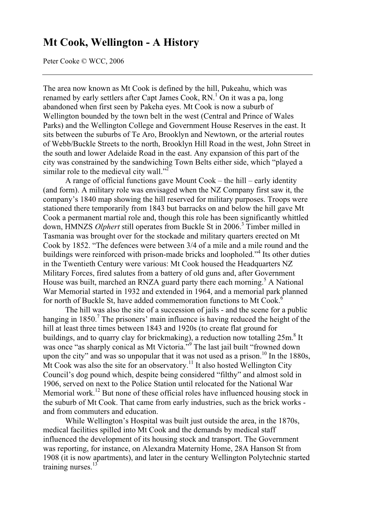# **Mt Cook, Wellington - A History**

Peter Cooke © WCC, 2006

The area now known as Mt Cook is defined by the hill, Pukeahu, which was renamed by early settlers after Capt James Cook, RN.<sup>1</sup> On it was a pa, long abandoned when first seen by Pakeha eyes. Mt Cook is now a suburb of Wellington bounded by the town belt in the west (Central and Prince of Wales Parks) and the Wellington College and Government House Reserves in the east. It sits between the suburbs of Te Aro, Brooklyn and Newtown, or the arterial routes of Webb/Buckle Streets to the north, Brooklyn Hill Road in the west, John Street in the south and lower Adelaide Road in the east. Any expansion of this part of the city was constrained by the sandwiching Town Belts either side, which "played a similar role to the medieval city wall."<sup>2</sup>

A range of official functions gave Mount Cook – the hill – early identity (and form). A military role was envisaged when the NZ Company first saw it, the company's 1840 map showing the hill reserved for military purposes. Troops were stationed there temporarily from 1843 but barracks on and below the hill gave Mt Cook a permanent martial role and, though this role has been significantly whittled down, HMNZS *Olphert* still operates from Buckle St in 2006.<sup>3</sup> Timber milled in Tasmania was brought over for the stockade and military quarters erected on Mt Cook by 1852. "The defences were between 3/4 of a mile and a mile round and the buildings were reinforced with prison-made bricks and loopholed."<sup>4</sup> Its other duties in the Twentieth Century were various: Mt Cook housed the Headquarters NZ Military Forces, fired salutes from a battery of old guns and, after Government House was built, marched an RNZA guard party there each morning.<sup>5</sup> A National War Memorial started in 1932 and extended in 1964, and a memorial park planned for north of Buckle St, have added commemoration functions to Mt Cook.<sup>6</sup>

The hill was also the site of a succession of jails - and the scene for a public hanging in 1850.<sup>7</sup> The prisoners' main influence is having reduced the height of the hill at least three times between 1843 and 1920s (to create flat ground for buildings, and to quarry clay for brickmaking), a reduction now totalling 25m.<sup>8</sup> It was once "as sharply conical as Mt Victoria."<sup>9</sup> The last jail built "frowned down upon the city" and was so unpopular that it was not used as a prison.<sup>10</sup> In the 1880s,  $\overrightarrow{M}$ t Cook was also the site for an observatory.<sup>11</sup> It also hosted Wellington City Council's dog pound which, despite being considered "filthy" and almost sold in 1906, served on next to the Police Station until relocated for the National War Memorial work.<sup>12</sup> But none of these official roles have influenced housing stock in the suburb of Mt Cook. That came from early industries, such as the brick works and from commuters and education.

While Wellington's Hospital was built just outside the area, in the 1870s, medical facilities spilled into Mt Cook and the demands by medical staff influenced the development of its housing stock and transport. The Government was reporting, for instance, on Alexandra Maternity Home, 28A Hanson St from 1908 (it is now apartments), and later in the century Wellington Polytechnic started training nurses. $^{13}$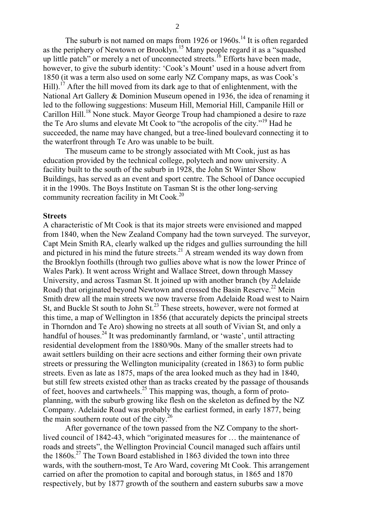The suburb is not named on maps from  $1926$  or  $1960s$ .<sup>14</sup> It is often regarded as the periphery of Newtown or Brooklyn.<sup>15</sup> Many people regard it as a "squashed" up little patch" or merely a net of unconnected streets.<sup>16</sup> Efforts have been made, however, to give the suburb identity: 'Cook's Mount' used in a house advert from 1850 (it was a term also used on some early NZ Company maps, as was Cook's  $Hill$ ).<sup>17</sup> After the hill moved from its dark age to that of enlightenment, with the National Art Gallery & Dominion Museum opened in 1936, the idea of renaming it led to the following suggestions: Museum Hill, Memorial Hill, Campanile Hill or Carillon Hill.<sup>18</sup> None stuck. Mayor George Troup had championed a desire to raze the Te Aro slums and elevate Mt Cook to "the acropolis of the city."19 Had he succeeded, the name may have changed, but a tree-lined boulevard connecting it to the waterfront through Te Aro was unable to be built.

The museum came to be strongly associated with Mt Cook, just as has education provided by the technical college, polytech and now university. A facility built to the south of the suburb in 1928, the John St Winter Show Buildings, has served as an event and sport centre. The School of Dance occupied it in the 1990s. The Boys Institute on Tasman St is the other long-serving community recreation facility in Mt Cook.<sup>20</sup>

# **Streets**

A characteristic of Mt Cook is that its major streets were envisioned and mapped from 1840, when the New Zealand Company had the town surveyed. The surveyor, Capt Mein Smith RA, clearly walked up the ridges and gullies surrounding the hill and pictured in his mind the future streets. $^{21}$  A stream wended its way down from the Brooklyn foothills (through two gullies above what is now the lower Prince of Wales Park). It went across Wright and Wallace Street, down through Massey University, and across Tasman St. It joined up with another branch (by Adelaide Road) that originated beyond Newtown and crossed the Basin Reserve.<sup>22</sup> Mein Smith drew all the main streets we now traverse from Adelaide Road west to Nairn St, and Buckle St south to John St.<sup>23</sup> These streets, however, were not formed at this time, a map of Wellington in 1856 (that accurately depicts the principal streets in Thorndon and Te Aro) showing no streets at all south of Vivian St, and only a handful of houses.<sup>24</sup> It was predominantly farmland, or 'waste', until attracting residential development from the 1880/90s. Many of the smaller streets had to await settlers building on their acre sections and either forming their own private streets or pressuring the Wellington municipality (created in 1863) to form public streets. Even as late as 1875, maps of the area looked much as they had in 1840, but still few streets existed other than as tracks created by the passage of thousands of feet, hooves and cartwheels.<sup>25</sup> This mapping was, though, a form of protoplanning, with the suburb growing like flesh on the skeleton as defined by the NZ Company. Adelaide Road was probably the earliest formed, in early 1877, being the main southern route out of the city. $26$ 

After governance of the town passed from the NZ Company to the shortlived council of 1842-43, which "originated measures for … the maintenance of roads and streets", the Wellington Provincial Council managed such affairs until the  $1860s<sup>27</sup>$ . The Town Board established in 1863 divided the town into three wards, with the southern-most, Te Aro Ward, covering Mt Cook. This arrangement carried on after the promotion to capital and borough status, in 1865 and 1870 respectively, but by 1877 growth of the southern and eastern suburbs saw a move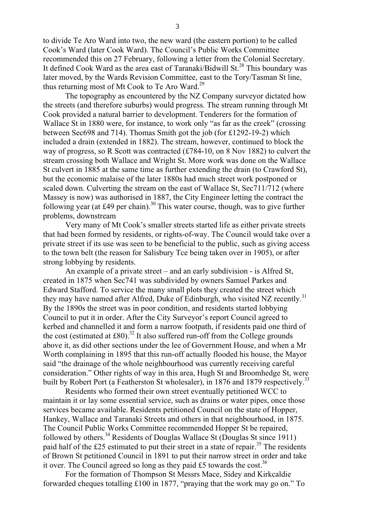to divide Te Aro Ward into two, the new ward (the eastern portion) to be called Cook's Ward (later Cook Ward). The Council's Public Works Committee recommended this on 27 February, following a letter from the Colonial Secretary. It defined Cook Ward as the area east of Taranaki/Bidwill St.<sup>28</sup> This boundary was later moved, by the Wards Revision Committee, east to the Tory/Tasman St line, thus returning most of Mt Cook to Te Aro Ward.<sup>29</sup>

The topography as encountered by the NZ Company surveyor dictated how the streets (and therefore suburbs) would progress. The stream running through Mt Cook provided a natural barrier to development. Tenderers for the formation of Wallace St in 1880 were, for instance, to work only "as far as the creek" (crossing between Sec698 and 714). Thomas Smith got the job (for £1292-19-2) which included a drain (extended in 1882). The stream, however, continued to block the way of progress, so R Scott was contracted (£784-10, on 8 Nov 1882) to culvert the stream crossing both Wallace and Wright St. More work was done on the Wallace St culvert in 1885 at the same time as further extending the drain (to Crawford St), but the economic malaise of the later 1880s had much street work postponed or scaled down. Culverting the stream on the east of Wallace St, Sec711/712 (where Massey is now) was authorised in 1887, the City Engineer letting the contract the following year (at £49 per chain).<sup>30</sup> This water course, though, was to give further problems, downstream

Very many of Mt Cook's smaller streets started life as either private streets that had been formed by residents, or rights-of-way. The Council would take over a private street if its use was seen to be beneficial to the public, such as giving access to the town belt (the reason for Salisbury Tce being taken over in 1905), or after strong lobbying by residents.

An example of a private street – and an early subdivision - is Alfred St, created in 1875 when Sec741 was subdivided by owners Samuel Parkes and Edward Stafford. To service the many small plots they created the street which they may have named after Alfred, Duke of Edinburgh, who visited NZ recently.<sup>31</sup> By the 1890s the street was in poor condition, and residents started lobbying Council to put it in order. After the City Surveyor's report Council agreed to kerbed and channelled it and form a narrow footpath, if residents paid one third of the cost (estimated at £80).<sup>32</sup> It also suffered run-off from the College grounds above it, as did other sections under the lee of Government House, and when a Mr Worth complaining in 1895 that this run-off actually flooded his house, the Mayor said "the drainage of the whole neighbourhood was currently receiving careful consideration." Other rights of way in this area, Hugh St and Broomhedge St, were built by Robert Port (a Featherston St wholesaler), in 1876 and 1879 respectively.<sup>33</sup>

Residents who formed their own street eventually petitioned WCC to maintain it or lay some essential service, such as drains or water pipes, once those services became available. Residents petitioned Council on the state of Hopper, Hankey, Wallace and Taranaki Streets and others in that neighbourhood, in 1875. The Council Public Works Committee recommended Hopper St be repaired, followed by others.<sup>34</sup> Residents of Douglas Wallace St (Douglas St since 1911) paid half of the £25 estimated to put their street in a state of repair.<sup>35</sup> The residents of Brown St petitioned Council in 1891 to put their narrow street in order and take it over. The Council agreed so long as they paid £5 towards the cost.<sup>36</sup>

For the formation of Thompson St Messrs Mace, Sidey and Kirkcaldie forwarded cheques totalling £100 in 1877, "praying that the work may go on." To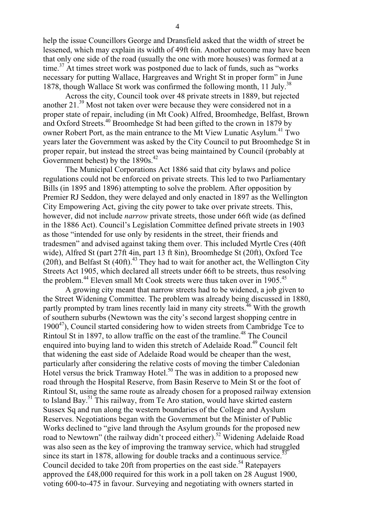help the issue Councillors George and Dransfield asked that the width of street be lessened, which may explain its width of 49ft 6in. Another outcome may have been that only one side of the road (usually the one with more houses) was formed at a time.<sup>37</sup> At times street work was postponed due to lack of funds, such as "works" necessary for putting Wallace, Hargreaves and Wright St in proper form" in June 1878, though Wallace St work was confirmed the following month, 11 July.<sup>38</sup>

Across the city, Council took over 48 private streets in 1889, but rejected another 21.39 Most not taken over were because they were considered not in a proper state of repair, including (in Mt Cook) Alfred, Broomhedge, Belfast, Brown and Oxford Streets.40 Broomhedge St had been gifted to the crown in 1879 by owner Robert Port, as the main entrance to the Mt View Lunatic Asylum.<sup>41</sup> Two years later the Government was asked by the City Council to put Broomhedge St in proper repair, but instead the street was being maintained by Council (probably at Government behest) by the  $1890s.<sup>42</sup>$ 

The Municipal Corporations Act 1886 said that city bylaws and police regulations could not be enforced on private streets. This led to two Parliamentary Bills (in 1895 and 1896) attempting to solve the problem. After opposition by Premier RJ Seddon, they were delayed and only enacted in 1897 as the Wellington City Empowering Act, giving the city power to take over private streets. This, however, did not include *narrow* private streets, those under 66ft wide (as defined in the 1886 Act). Council's Legislation Committee defined private streets in 1903 as those "intended for use only by residents in the street, their friends and tradesmen" and advised against taking them over. This included Myrtle Cres (40ft wide), Alfred St (part 27ft 4in, part 13 ft 8in), Broomhedge St (20ft), Oxford Tce (20ft), and Belfast St  $(40\text{ft})$ <sup>43</sup>. They had to wait for another act, the Wellington City Streets Act 1905, which declared all streets under 66ft to be streets, thus resolving the problem.<sup>44</sup> Eleven small Mt Cook streets were thus taken over in 1905.<sup>45</sup>

A growing city meant that narrow streets had to be widened, a job given to the Street Widening Committee. The problem was already being discussed in 1880, partly prompted by tram lines recently laid in many city streets.<sup>46</sup> With the growth of southern suburbs (Newtown was the city's second largest shopping centre in  $1900^{47}$ ), Council started considering how to widen streets from Cambridge Tce to Rintoul St in 1897, to allow traffic on the east of the tramline.<sup>48</sup> The Council enquired into buying land to widen this stretch of Adelaide Road.<sup>49</sup> Council felt that widening the east side of Adelaide Road would be cheaper than the west, particularly after considering the relative costs of moving the timber Caledonian Hotel versus the brick Tramway Hotel.<sup>50</sup> The was in addition to a proposed new road through the Hospital Reserve, from Basin Reserve to Mein St or the foot of Rintoul St, using the same route as already chosen for a proposed railway extension to Island Bay.<sup>51</sup> This railway, from Te Aro station, would have skirted eastern Sussex Sq and run along the western boundaries of the College and Ayslum Reserves. Negotiations began with the Government but the Minister of Public Works declined to "give land through the Asylum grounds for the proposed new road to Newtown" (the railway didn't proceed either).<sup>52</sup> Widening Adelaide Road was also seen as the key of improving the tramway service, which had struggled since its start in 1878, allowing for double tracks and a continuous service.<sup>53</sup> Council decided to take 20ft from properties on the east side.<sup>54</sup> Ratepayers approved the £48,000 required for this work in a poll taken on 28 August 1900, voting 600-to-475 in favour. Surveying and negotiating with owners started in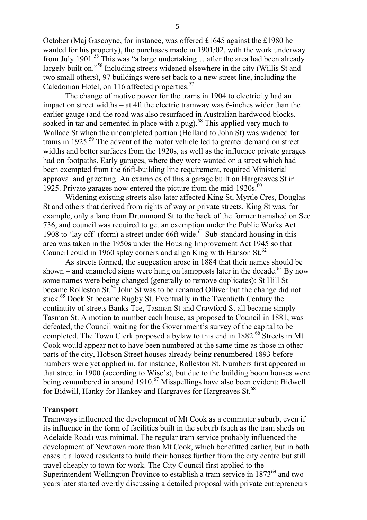October (Maj Gascoyne, for instance, was offered £1645 against the £1980 he wanted for his property), the purchases made in 1901/02, with the work underway from July 1901.55 This was "a large undertaking… after the area had been already largely built on."<sup>56</sup> Including streets widened elsewhere in the city (Willis St and two small others), 97 buildings were set back to a new street line, including the Caledonian Hotel, on 116 affected properties.<sup>57</sup>

The change of motive power for the trams in 1904 to electricity had an impact on street widths – at 4ft the electric tramway was 6-inches wider than the earlier gauge (and the road was also resurfaced in Australian hardwood blocks, soaked in tar and cemented in place with a pug).<sup>58</sup> This applied very much to Wallace St when the uncompleted portion (Holland to John St) was widened for trams in 1925.<sup>59</sup> The advent of the motor vehicle led to greater demand on street widths and better surfaces from the 1920s, as well as the influence private garages had on footpaths. Early garages, where they were wanted on a street which had been exempted from the 66ft-building line requirement, required Ministerial approval and gazetting. An examples of this a garage built on Hargreaves St in 1925. Private garages now entered the picture from the mid-1920s. $^{60}$ 

Widening existing streets also later affected King St, Myrtle Cres, Douglas St and others that derived from rights of way or private streets. King St was, for example, only a lane from Drummond St to the back of the former tramshed on Sec 736, and council was required to get an exemption under the Public Works Act 1908 to 'lay off' (form) a street under 66ft wide.<sup>61</sup> Sub-standard housing in this area was taken in the 1950s under the Housing Improvement Act 1945 so that Council could in 1960 splay corners and align King with Hanson  $St^{62}$ .

As streets formed, the suggestion arose in 1884 that their names should be shown – and enameled signs were hung on lampposts later in the decade.<sup>63</sup> By now some names were being changed (generally to remove duplicates): St Hill St became Rolleston St.<sup>64</sup> John St was to be renamed Olliver but the change did not stick.<sup>65</sup> Dock St became Rugby St. Eventually in the Twentieth Century the continuity of streets Banks Tce, Tasman St and Crawford St all became simply Tasman St. A motion to number each house, as proposed to Council in 1881, was defeated, the Council waiting for the Government's survey of the capital to be completed. The Town Clerk proposed a bylaw to this end in  $1882.66$  Streets in Mt Cook would appear not to have been numbered at the same time as those in other parts of the city, Hobson Street houses already being **re**numbered 1893 before numbers were yet applied in, for instance, Rolleston St. Numbers first appeared in that street in 1900 (according to Wise's), but due to the building boom houses were being *re*numbered in around 1910.<sup>67</sup> Misspellings have also been evident: Bidwell for Bidwill, Hanky for Hankey and Hargraves for Hargreaves St.<sup>68</sup>

## **Transport**

Tramways influenced the development of Mt Cook as a commuter suburb, even if its influence in the form of facilities built in the suburb (such as the tram sheds on Adelaide Road) was minimal. The regular tram service probably influenced the development of Newtown more than Mt Cook, which benefitted earlier, but in both cases it allowed residents to build their houses further from the city centre but still travel cheaply to town for work. The City Council first applied to the Superintendent Wellington Province to establish a tram service in  $1873^{69}$  and two years later started overtly discussing a detailed proposal with private entrepreneurs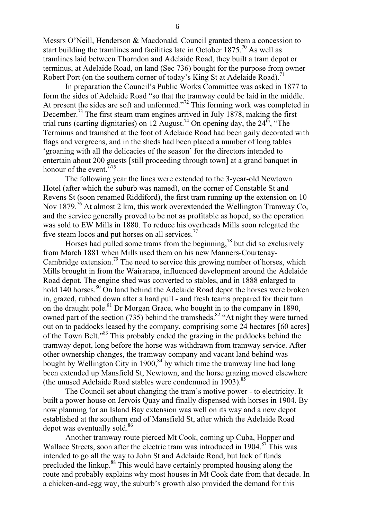Messrs O'Neill, Henderson & Macdonald. Council granted them a concession to start building the tramlines and facilities late in October  $1875$ .<sup>70</sup> As well as tramlines laid between Thorndon and Adelaide Road, they built a tram depot or terminus, at Adelaide Road, on land (Sec 736) bought for the purpose from owner Robert Port (on the southern corner of today's King St at Adelaide Road).<sup>71</sup>

In preparation the Council's Public Works Committee was asked in 1877 to form the sides of Adelaide Road "so that the tramway could be laid in the middle. At present the sides are soft and unformed."<sup>72</sup> This forming work was completed in December.73 The first steam tram engines arrived in July 1878, making the first trial runs (carting dignitaries) on 12 August.<sup>74</sup> On opening day, the 24<sup>th</sup>, "The Terminus and tramshed at the foot of Adelaide Road had been gaily decorated with flags and vergreens, and in the sheds had been placed a number of long tables 'groaning with all the delicacies of the season' for the directors intended to entertain about 200 guests [still proceeding through town] at a grand banquet in honour of the event. $\overline{5}^{75}$ 

The following year the lines were extended to the 3-year-old Newtown Hotel (after which the suburb was named), on the corner of Constable St and Revens St (soon renamed Riddiford), the first tram running up the extension on 10 Nov 1879.<sup>76</sup> At almost 2 km, this work overextended the Wellington Tramway Co, and the service generally proved to be not as profitable as hoped, so the operation was sold to EW Mills in 1880. To reduce his overheads Mills soon relegated the five steam locos and put horses on all services.<sup>77</sup>

Horses had pulled some trams from the beginning,<sup>78</sup> but did so exclusively from March 1881 when Mills used them on his new Manners-Courtenay-Cambridge extension.<sup>79</sup> The need to service this growing number of horses, which Mills brought in from the Wairarapa, influenced development around the Adelaide Road depot. The engine shed was converted to stables, and in 1888 enlarged to hold 140 horses.<sup>80</sup> On land behind the Adelaide Road depot the horses were broken in, grazed, rubbed down after a hard pull - and fresh teams prepared for their turn on the draught pole.81 Dr Morgan Grace, who bought in to the company in 1890, owned part of the section (735) behind the tramsheds.<sup>82</sup> "At night they were turned out on to paddocks leased by the company, comprising some 24 hectares [60 acres] of the Town Belt."83 This probably ended the grazing in the paddocks behind the tramway depot, long before the horse was withdrawn from tramway service. After other ownership changes, the tramway company and vacant land behind was bought by Wellington City in 1900,<sup>84</sup> by which time the tramway line had long been extended up Mansfield St, Newtown, and the horse grazing moved elsewhere (the unused Adelaide Road stables were condemned in 1903).<sup>85</sup>

The Council set about changing the tram's motive power - to electricity. It built a power house on Jervois Quay and finally dispensed with horses in 1904. By now planning for an Island Bay extension was well on its way and a new depot established at the southern end of Mansfield St, after which the Adelaide Road depot was eventually sold.<sup>86</sup>

Another tramway route pierced Mt Cook, coming up Cuba, Hopper and Wallace Streets, soon after the electric tram was introduced in 1904.<sup>87</sup> This was intended to go all the way to John St and Adelaide Road, but lack of funds precluded the linkup.88 This would have certainly prompted housing along the route and probably explains why most houses in Mt Cook date from that decade. In a chicken-and-egg way, the suburb's growth also provided the demand for this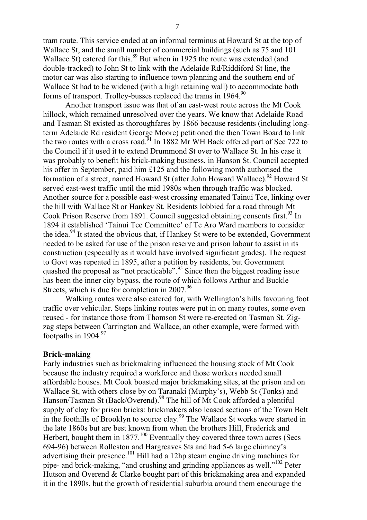tram route. This service ended at an informal terminus at Howard St at the top of Wallace St, and the small number of commercial buildings (such as 75 and 101 Wallace St) catered for this.<sup>89</sup> But when in 1925 the route was extended (and double-tracked) to John St to link with the Adelaide Rd/Riddiford St line, the motor car was also starting to influence town planning and the southern end of Wallace St had to be widened (with a high retaining wall) to accommodate both forms of transport. Trolley-busses replaced the trams in 1964.<sup>90</sup>

Another transport issue was that of an east-west route across the Mt Cook hillock, which remained unresolved over the years. We know that Adelaide Road and Tasman St existed as thoroughfares by 1866 because residents (including longterm Adelaide Rd resident George Moore) petitioned the then Town Board to link the two routes with a cross road.<sup>91</sup> In 1882 Mr WH Back offered part of Sec 722 to the Council if it used it to extend Drummond St over to Wallace St. In his case it was probably to benefit his brick-making business, in Hanson St. Council accepted his offer in September, paid him £125 and the following month authorised the formation of a street, named Howard St (after John Howard Wallace).<sup>92</sup> Howard St served east-west traffic until the mid 1980s when through traffic was blocked. Another source for a possible east-west crossing emanated Tainui Tce, linking over the hill with Wallace St or Hankey St. Residents lobbied for a road through Mt Cook Prison Reserve from 1891. Council suggested obtaining consents first.<sup>93</sup> In 1894 it established 'Tainui Tce Committee' of Te Aro Ward members to consider the idea.<sup>94</sup> It stated the obvious that, if Hankey St were to be extended, Government needed to be asked for use of the prison reserve and prison labour to assist in its construction (especially as it would have involved significant grades). The request to Govt was repeated in 1895, after a petition by residents, but Government quashed the proposal as "not practicable".<sup>95</sup> Since then the biggest roading issue has been the inner city bypass, the route of which follows Arthur and Buckle Streets, which is due for completion in  $2007^{96}$ .

Walking routes were also catered for, with Wellington's hills favouring foot traffic over vehicular. Steps linking routes were put in on many routes, some even reused - for instance those from Thomson St were re-erected on Tasman St. Zigzag steps between Carrington and Wallace, an other example, were formed with footpaths in 1904.<sup>97</sup>

### **Brick-making**

Early industries such as brickmaking influenced the housing stock of Mt Cook because the industry required a workforce and those workers needed small affordable houses. Mt Cook boasted major brickmaking sites, at the prison and on Wallace St, with others close by on Taranaki (Murphy's), Webb St (Tonks) and Hanson/Tasman St (Back/Overend).<sup>98</sup> The hill of Mt Cook afforded a plentiful supply of clay for prison bricks: brickmakers also leased sections of the Town Belt in the foothills of Brooklyn to source clay.<sup>99</sup> The Wallace St works were started in the late 1860s but are best known from when the brothers Hill, Frederick and Herbert, bought them in  $1877$ .<sup>100</sup> Eventually they covered three town acres (Secs 694-96) between Rolleston and Hargreaves Sts and had 5-6 large chimney's advertising their presence.<sup>101</sup> Hill had a 12hp steam engine driving machines for pipe- and brick-making, "and crushing and grinding appliances as well."102 Peter Hutson and Overend & Clarke bought part of this brickmaking area and expanded it in the 1890s, but the growth of residential suburbia around them encourage the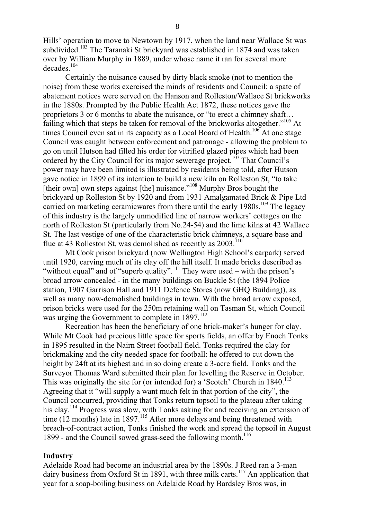Hills' operation to move to Newtown by 1917, when the land near Wallace St was subdivided.<sup>103</sup> The Taranaki St brickyard was established in 1874 and was taken over by William Murphy in 1889, under whose name it ran for several more decades.<sup>104</sup>

Certainly the nuisance caused by dirty black smoke (not to mention the noise) from these works exercised the minds of residents and Council: a spate of abatement notices were served on the Hanson and Rolleston/Wallace St brickworks in the 1880s. Prompted by the Public Health Act 1872, these notices gave the proprietors 3 or 6 months to abate the nuisance, or "to erect a chimney shaft… failing which that steps be taken for removal of the brickworks altogether."<sup>105</sup> At times Council even sat in its capacity as a Local Board of Health.<sup>106</sup> At one stage Council was caught between enforcement and patronage - allowing the problem to go on until Hutson had filled his order for vitrified glazed pipes which had been ordered by the City Council for its major sewerage project.<sup>107</sup> That Council's power may have been limited is illustrated by residents being told, after Hutson gave notice in 1899 of its intention to build a new kiln on Rolleston St, "to take [their own] own steps against [the] nuisance."<sup>108</sup> Murphy Bros bought the brickyard up Rolleston St by 1920 and from 1931 Amalgamated Brick & Pipe Ltd carried on marketing ceramicwares from there until the early 1980s.<sup>109</sup> The legacy of this industry is the largely unmodified line of narrow workers' cottages on the north of Rolleston St (particularly from No.24-54) and the lime kilns at 42 Wallace St. The last vestige of one of the characteristic brick chimneys, a square base and flue at 43 Rolleston St, was demolished as recently as  $2003$ <sup>110</sup>

Mt Cook prison brickyard (now Wellington High School's carpark) served until 1920, carving much of its clay off the hill itself. It made bricks described as "without equal" and of "superb quality".<sup>111</sup> They were used – with the prison's broad arrow concealed - in the many buildings on Buckle St (the 1894 Police station, 1907 Garrison Hall and 1911 Defence Stores (now GHQ Building)), as well as many now-demolished buildings in town. With the broad arrow exposed, prison bricks were used for the 250m retaining wall on Tasman St, which Council was urging the Government to complete in  $1897$ .<sup>112</sup>

Recreation has been the beneficiary of one brick-maker's hunger for clay. While Mt Cook had precious little space for sports fields, an offer by Enoch Tonks in 1895 resulted in the Nairn Street football field. Tonks required the clay for brickmaking and the city needed space for football: he offered to cut down the height by 24ft at its highest and in so doing create a 3-acre field. Tonks and the Surveyor Thomas Ward submitted their plan for levelling the Reserve in October. This was originally the site for (or intended for) a 'Scotch' Church in  $1840$ <sup>113</sup> Agreeing that it "will supply a want much felt in that portion of the city", the Council concurred, providing that Tonks return topsoil to the plateau after taking his clay.<sup>114</sup> Progress was slow, with Tonks asking for and receiving an extension of time (12 months) late in 1897.<sup>115</sup> After more delays and being threatened with breach-of-contract action, Tonks finished the work and spread the topsoil in August 1899 - and the Council sowed grass-seed the following month.<sup>116</sup>

## **Industry**

Adelaide Road had become an industrial area by the 1890s. J Reed ran a 3-man dairy business from Oxford St in 1891, with three milk carts.<sup>117</sup> An application that year for a soap-boiling business on Adelaide Road by Bardsley Bros was, in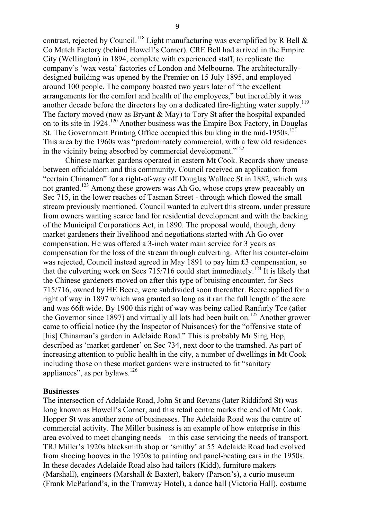contrast, rejected by Council.<sup>118</sup> Light manufacturing was exemplified by R Bell  $\&$ Co Match Factory (behind Howell's Corner). CRE Bell had arrived in the Empire City (Wellington) in 1894, complete with experienced staff, to replicate the company's 'wax vesta' factories of London and Melbourne. The architecturallydesigned building was opened by the Premier on 15 July 1895, and employed around 100 people. The company boasted two years later of "the excellent arrangements for the comfort and health of the employees," but incredibly it was another decade before the directors lay on a dedicated fire-fighting water supply.<sup>119</sup> The factory moved (now as Bryant & May) to Tory St after the hospital expanded on to its site in 1924.120 Another business was the Empire Box Factory, in Douglas St. The Government Printing Office occupied this building in the mid-1950s.<sup>121</sup> This area by the 1960s was "predominately commercial, with a few old residences in the vicinity being absorbed by commercial development."<sup>122</sup>

Chinese market gardens operated in eastern Mt Cook. Records show unease between officialdom and this community. Council received an application from "certain Chinamen" for a right-of-way off Douglas Wallace St in 1882, which was not granted.123 Among these growers was Ah Go, whose crops grew peaceably on Sec 715, in the lower reaches of Tasman Street - through which flowed the small stream previously mentioned. Council wanted to culvert this stream, under pressure from owners wanting scarce land for residential development and with the backing of the Municipal Corporations Act, in 1890. The proposal would, though, deny market gardeners their livelihood and negotiations started with Ah Go over compensation. He was offered a 3-inch water main service for 3 years as compensation for the loss of the stream through culverting. After his counter-claim was rejected, Council instead agreed in May 1891 to pay him £3 compensation, so that the culverting work on Secs  $715/716$  could start immediately.<sup>124</sup> It is likely that the Chinese gardeners moved on after this type of bruising encounter, for Secs 715/716, owned by HE Beere, were subdivided soon thereafter. Beere applied for a right of way in 1897 which was granted so long as it ran the full length of the acre and was 66ft wide. By 1900 this right of way was being called Ranfurly Tce (after the Governor since 1897) and virtually all lots had been built on.<sup>125</sup> Another grower came to official notice (by the Inspector of Nuisances) for the "offensive state of [his] Chinaman's garden in Adelaide Road." This is probably Mr Sing Hop, described as 'market gardener' on Sec 734, next door to the tramshed. As part of increasing attention to public health in the city, a number of dwellings in Mt Cook including those on these market gardens were instructed to fit "sanitary appliances", as per bylaws. $126$ 

## **Businesses**

The intersection of Adelaide Road, John St and Revans (later Riddiford St) was long known as Howell's Corner, and this retail centre marks the end of Mt Cook. Hopper St was another zone of businesses. The Adelaide Road was the centre of commercial activity. The Miller business is an example of how enterprise in this area evolved to meet changing needs – in this case servicing the needs of transport. TRJ Miller's 1920s blacksmith shop or 'smithy' at 55 Adelaide Road had evolved from shoeing hooves in the 1920s to painting and panel-beating cars in the 1950s. In these decades Adelaide Road also had tailors (Kidd), furniture makers (Marshall), engineers (Marshall & Baxter), bakery (Parson's), a curio museum (Frank McParland's, in the Tramway Hotel), a dance hall (Victoria Hall), costume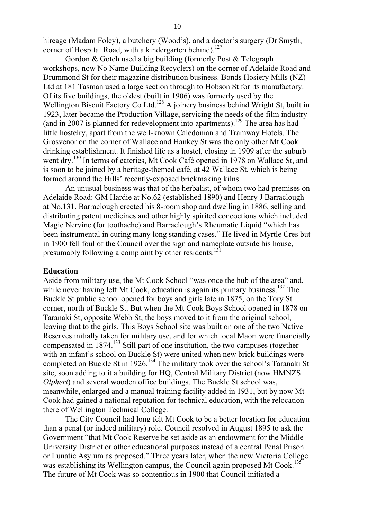hireage (Madam Foley), a butchery (Wood's), and a doctor's surgery (Dr Smyth, corner of Hospital Road, with a kindergarten behind).<sup>127</sup>

Gordon & Gotch used a big building (formerly Post & Telegraph workshops, now No Name Building Recyclers) on the corner of Adelaide Road and Drummond St for their magazine distribution business. Bonds Hosiery Mills (NZ) Ltd at 181 Tasman used a large section through to Hobson St for its manufactory. Of its five buildings, the oldest (built in 1906) was formerly used by the Wellington Biscuit Factory Co Ltd.<sup>128</sup> A joinery business behind Wright St, built in 1923, later became the Production Village, servicing the needs of the film industry (and in 2007 is planned for redevelopment into apartments).<sup>129</sup> The area has had little hostelry, apart from the well-known Caledonian and Tramway Hotels. The Grosvenor on the corner of Wallace and Hankey St was the only other Mt Cook drinking establishment. It finished life as a hostel, closing in 1909 after the suburb went dry.<sup>130</sup> In terms of eateries, Mt Cook Café opened in 1978 on Wallace St, and is soon to be joined by a heritage-themed café, at 42 Wallace St, which is being formed around the Hills' recently-exposed brickmaking kilns.

An unusual business was that of the herbalist, of whom two had premises on Adelaide Road: GM Hardie at No.62 (established 1890) and Henry J Barraclough at No.131. Barraclough erected his 8-room shop and dwelling in 1886, selling and distributing patent medicines and other highly spirited concoctions which included Magic Nervine (for toothache) and Barraclough's Rheumatic Liquid "which has been instrumental in curing many long standing cases." He lived in Myrtle Cres but in 1900 fell foul of the Council over the sign and nameplate outside his house, presumably following a complaint by other residents.<sup>131</sup>

## **Education**

Aside from military use, the Mt Cook School "was once the hub of the area" and, while never having left Mt Cook, education is again its primary business.<sup>132</sup> The Buckle St public school opened for boys and girls late in 1875, on the Tory St corner, north of Buckle St. But when the Mt Cook Boys School opened in 1878 on Taranaki St, opposite Webb St, the boys moved to it from the original school, leaving that to the girls. This Boys School site was built on one of the two Native Reserves initially taken for military use, and for which local Maori were financially compensated in 1874.133 Still part of one institution, the two campuses (together with an infant's school on Buckle St) were united when new brick buildings were completed on Buckle St in 1926.<sup>134</sup> The military took over the school's Taranaki St site, soon adding to it a building for HQ, Central Military District (now HMNZS *Olphert*) and several wooden office buildings. The Buckle St school was, meanwhile, enlarged and a manual training facility added in 1931, but by now Mt Cook had gained a national reputation for technical education, with the relocation there of Wellington Technical College.

The City Council had long felt Mt Cook to be a better location for education than a penal (or indeed military) role. Council resolved in August 1895 to ask the Government "that Mt Cook Reserve be set aside as an endowment for the Middle University District or other educational purposes instead of a central Penal Prison or Lunatic Asylum as proposed." Three years later, when the new Victoria College was establishing its Wellington campus, the Council again proposed Mt Cook.<sup>135</sup> The future of Mt Cook was so contentious in 1900 that Council initiated a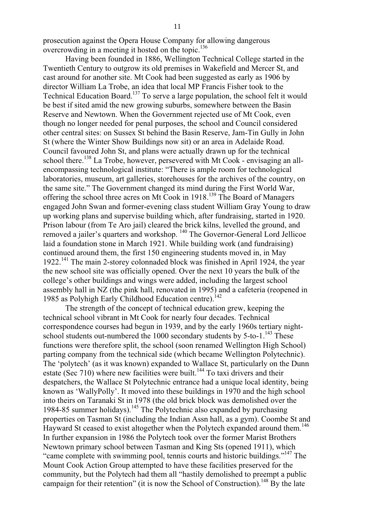prosecution against the Opera House Company for allowing dangerous overcrowding in a meeting it hosted on the topic.<sup>136</sup>

Having been founded in 1886, Wellington Technical College started in the Twentieth Century to outgrow its old premises in Wakefield and Mercer St, and cast around for another site. Mt Cook had been suggested as early as 1906 by director William La Trobe, an idea that local MP Francis Fisher took to the Technical Education Board.<sup>137</sup> To serve a large population, the school felt it would be best if sited amid the new growing suburbs, somewhere between the Basin Reserve and Newtown. When the Government rejected use of Mt Cook, even though no longer needed for penal purposes, the school and Council considered other central sites: on Sussex St behind the Basin Reserve, Jam-Tin Gully in John St (where the Winter Show Buildings now sit) or an area in Adelaide Road. Council favoured John St, and plans were actually drawn up for the technical school there.<sup>138</sup> La Trobe, however, persevered with Mt Cook - envisaging an allencompassing technological institute: "There is ample room for technological laboratories, museum, art galleries, storehouses for the archives of the country, on the same site." The Government changed its mind during the First World War, offering the school three acres on Mt Cook in 1918.<sup>139</sup> The Board of Managers engaged John Swan and former-evening class student William Gray Young to draw up working plans and supervise building which, after fundraising, started in 1920. Prison labour (from Te Aro jail) cleared the brick kilns, levelled the ground, and removed a jailer's quarters and workshop. 140 The Governor-General Lord Jellicoe laid a foundation stone in March 1921. While building work (and fundraising) continued around them, the first 150 engineering students moved in, in May 1922.141 The main 2-storey colonnaded block was finished in April 1924, the year the new school site was officially opened. Over the next 10 years the bulk of the college's other buildings and wings were added, including the largest school assembly hall in NZ (the pink hall, renovated in 1995) and a cafeteria (reopened in 1985 as Polyhigh Early Childhood Education centre).<sup>142</sup>

The strength of the concept of technical education grew, keeping the technical school vibrant in Mt Cook for nearly four decades. Technical correspondence courses had begun in 1939, and by the early 1960s tertiary nightschool students out-numbered the 1000 secondary students by  $5$ -to-1.<sup>143</sup> These functions were therefore split, the school (soon renamed Wellington High School) parting company from the technical side (which became Wellington Polytechnic). The 'polytech' (as it was known) expanded to Wallace St, particularly on the Dunn estate (Sec 710) where new facilities were built.<sup>144</sup> To taxi drivers and their despatchers, the Wallace St Polytechnic entrance had a unique local identity, being known as 'WallyPolly'. It moved into these buildings in 1970 and the high school into theirs on Taranaki St in 1978 (the old brick block was demolished over the 1984-85 summer holidays).<sup>145</sup> The Polytechnic also expanded by purchasing properties on Tasman St (including the Indian Assn hall, as a gym). Coombe St and Hayward St ceased to exist altogether when the Polytech expanded around them.<sup>146</sup> In further expansion in 1986 the Polytech took over the former Marist Brothers Newtown primary school between Tasman and King Sts (opened 1911), which "came complete with swimming pool, tennis courts and historic buildings."147 The Mount Cook Action Group attempted to have these facilities preserved for the community, but the Polytech had them all "hastily demolished to preempt a public campaign for their retention" (it is now the School of Construction).<sup>148</sup> By the late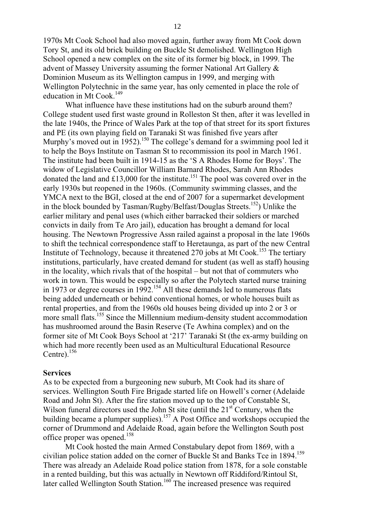1970s Mt Cook School had also moved again, further away from Mt Cook down Tory St, and its old brick building on Buckle St demolished. Wellington High School opened a new complex on the site of its former big block, in 1999. The advent of Massey University assuming the former National Art Gallery &

Dominion Museum as its Wellington campus in 1999, and merging with Wellington Polytechnic in the same year, has only cemented in place the role of education in Mt Cook.<sup>149</sup>

What influence have these institutions had on the suburb around them? College student used first waste ground in Rolleston St then, after it was levelled in the late 1940s, the Prince of Wales Park at the top of that street for its sport fixtures and PE (its own playing field on Taranaki St was finished five years after Murphy's moved out in 1952).<sup>150</sup> The college's demand for a swimming pool led it to help the Boys Institute on Tasman St to recommission its pool in March 1961. The institute had been built in 1914-15 as the 'S A Rhodes Home for Boys'. The widow of Legislative Councillor William Barnard Rhodes, Sarah Ann Rhodes donated the land and £13,000 for the institute.<sup>151</sup> The pool was covered over in the early 1930s but reopened in the 1960s. (Community swimming classes, and the YMCA next to the BGI, closed at the end of 2007 for a supermarket development in the block bounded by Tasman/Rugby/Belfast/Douglas Streets.<sup>152</sup>) Unlike the earlier military and penal uses (which either barracked their soldiers or marched convicts in daily from Te Aro jail), education has brought a demand for local housing. The Newtown Progressive Assn railed against a proposal in the late 1960s to shift the technical correspondence staff to Heretaunga, as part of the new Central Institute of Technology, because it threatened 270 jobs at Mt Cook.<sup>153</sup> The tertiary institutions, particularly, have created demand for student (as well as staff) housing in the locality, which rivals that of the hospital – but not that of commuters who work in town. This would be especially so after the Polytech started nurse training in 1973 or degree courses in 1992.<sup>154</sup> All these demands led to numerous flats being added underneath or behind conventional homes, or whole houses built as rental properties, and from the 1960s old houses being divided up into 2 or 3 or more small flats.<sup>155</sup> Since the Millennium medium-density student accommodation has mushroomed around the Basin Reserve (Te Awhina complex) and on the former site of Mt Cook Boys School at '217' Taranaki St (the ex-army building on which had more recently been used as an Multicultural Educational Resource Centre). $156$ 

#### **Services**

As to be expected from a burgeoning new suburb, Mt Cook had its share of services. Wellington South Fire Brigade started life on Howell's corner (Adelaide Road and John St). After the fire station moved up to the top of Constable St, Wilson funeral directors used the John St site (until the  $21<sup>st</sup>$  Century, when the building became a plumper supplies).<sup>157</sup> A Post Office and workshops occupied the corner of Drummond and Adelaide Road, again before the Wellington South post office proper was opened.<sup>158</sup>

Mt Cook hosted the main Armed Constabulary depot from 1869, with a civilian police station added on the corner of Buckle St and Banks Tce in 1894.<sup>159</sup> There was already an Adelaide Road police station from 1878, for a sole constable in a rented building, but this was actually in Newtown off Riddiford/Rintoul St, later called Wellington South Station.<sup>160</sup> The increased presence was required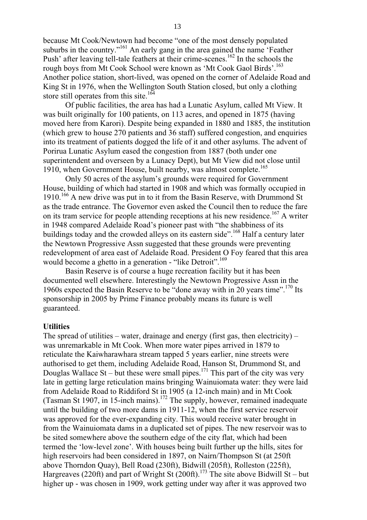because Mt Cook/Newtown had become "one of the most densely populated suburbs in the country."<sup>161</sup> An early gang in the area gained the name 'Feather' Push' after leaving tell-tale feathers at their crime-scenes.<sup>162</sup> In the schools the rough boys from Mt Cook School were known as 'Mt Cook Gaol Birds'.<sup>163</sup> Another police station, short-lived, was opened on the corner of Adelaide Road and King St in 1976, when the Wellington South Station closed, but only a clothing store still operates from this site.<sup>164</sup>

Of public facilities, the area has had a Lunatic Asylum, called Mt View. It was built originally for 100 patients, on 113 acres, and opened in 1875 (having moved here from Karori). Despite being expanded in 1880 and 1885, the institution (which grew to house 270 patients and 36 staff) suffered congestion, and enquiries into its treatment of patients dogged the life of it and other asylums. The advent of Porirua Lunatic Asylum eased the congestion from 1887 (both under one superintendent and overseen by a Lunacy Dept), but Mt View did not close until 1910, when Government House, built nearby, was almost complete.<sup>165</sup>

Only 50 acres of the asylum's grounds were required for Government House, building of which had started in 1908 and which was formally occupied in 1910.<sup>166</sup> A new drive was put in to it from the Basin Reserve, with Drummond St as the trade entrance. The Governor even asked the Council then to reduce the fare on its tram service for people attending receptions at his new residence.<sup>167</sup> A writer in 1948 compared Adelaide Road's pioneer past with "the shabbiness of its buildings today and the crowded alleys on its eastern side".<sup>168</sup> Half a century later the Newtown Progressive Assn suggested that these grounds were preventing redevelopment of area east of Adelaide Road. President O Foy feared that this area would become a ghetto in a generation - "like Detroit".<sup>169</sup>

Basin Reserve is of course a huge recreation facility but it has been documented well elsewhere. Interestingly the Newtown Progressive Assn in the 1960s expected the Basin Reserve to be "done away with in 20 years time".170 Its sponsorship in 2005 by Prime Finance probably means its future is well guaranteed.

#### **Utilities**

The spread of utilities – water, drainage and energy (first gas, then electricity) – was unremarkable in Mt Cook. When more water pipes arrived in 1879 to reticulate the Kaiwharawhara stream tapped 5 years earlier, nine streets were authorised to get them, including Adelaide Road, Hanson St, Drummond St, and Douglas Wallace St – but these were small pipes.<sup>171</sup> This part of the city was very late in getting large reticulation mains bringing Wainuiomata water: they were laid from Adelaide Road to Riddiford St in 1905 (a 12-inch main) and in Mt Cook (Tasman St 1907, in 15-inch mains).<sup>172</sup> The supply, however, remained inadequate until the building of two more dams in 1911-12, when the first service reservoir was approved for the ever-expanding city. This would receive water brought in from the Wainuiomata dams in a duplicated set of pipes. The new reservoir was to be sited somewhere above the southern edge of the city flat, which had been termed the 'low-level zone'. With houses being built further up the hills, sites for high reservoirs had been considered in 1897, on Nairn/Thompson St (at 250ft above Thorndon Quay), Bell Road (230ft), Bidwill (205ft), Rolleston (225ft), Hargreaves (220ft) and part of Wright St (200ft).<sup>173</sup> The site above Bidwill St – but higher up - was chosen in 1909, work getting under way after it was approved two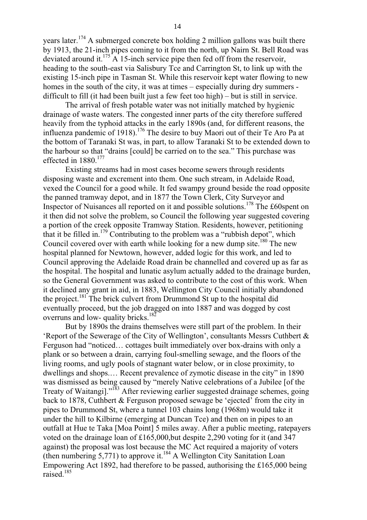years later.<sup>174</sup> A submerged concrete box holding 2 million gallons was built there by 1913, the 21-inch pipes coming to it from the north, up Nairn St. Bell Road was deviated around it.<sup>175</sup> A 15-inch service pipe then fed off from the reservoir, heading to the south-east via Salisbury Tce and Carrington St, to link up with the existing 15-inch pipe in Tasman St. While this reservoir kept water flowing to new homes in the south of the city, it was at times – especially during dry summers difficult to fill (it had been built just a few feet too high) – but is still in service.

The arrival of fresh potable water was not initially matched by hygienic drainage of waste waters. The congested inner parts of the city therefore suffered heavily from the typhoid attacks in the early 1890s (and, for different reasons, the influenza pandemic of 1918).176 The desire to buy Maori out of their Te Aro Pa at the bottom of Taranaki St was, in part, to allow Taranaki St to be extended down to the harbour so that "drains [could] be carried on to the sea." This purchase was effected in 1880.<sup>177</sup>

Existing streams had in most cases become sewers through residents disposing waste and excrement into them. One such stream, in Adelaide Road, vexed the Council for a good while. It fed swampy ground beside the road opposite the panned tramway depot, and in 1877 the Town Clerk, City Surveyor and Inspector of Nuisances all reported on it and possible solutions.178 The £60spent on it then did not solve the problem, so Council the following year suggested covering a portion of the creek opposite Tramway Station. Residents, however, petitioning that it be filled in.<sup>179</sup> Contributing to the problem was a "rubbish depot", which Council covered over with earth while looking for a new dump site.<sup>180</sup> The new hospital planned for Newtown, however, added logic for this work, and led to Council approving the Adelaide Road drain be channelled and covered up as far as the hospital. The hospital and lunatic asylum actually added to the drainage burden, so the General Government was asked to contribute to the cost of this work. When it declined any grant in aid, in 1883, Wellington City Council initially abandoned the project.<sup>181</sup> The brick culvert from Drummond St up to the hospital did eventually proceed, but the job dragged on into 1887 and was dogged by cost overruns and low- quality bricks.<sup>182</sup>

But by 1890s the drains themselves were still part of the problem. In their 'Report of the Sewerage of the City of Wellington', consultants Messrs Cuthbert & Ferguson had "noticed… cottages built immediately over box-drains with only a plank or so between a drain, carrying foul-smelling sewage, and the floors of the living rooms, and ugly pools of stagnant water below, or in close proximity, to dwellings and shops.… Recent prevalence of zymotic disease in the city" in 1890 was dismissed as being caused by "merely Native celebrations of a Jubilee [of the Treaty of Waitangi]."<sup>183</sup> After reviewing earlier suggested drainage schemes, going back to 1878, Cuthbert & Ferguson proposed sewage be 'ejected' from the city in pipes to Drummond St, where a tunnel 103 chains long (1968m) would take it under the hill to Kilbirne (emerging at Duncan Tce) and then on in pipes to an outfall at Hue te Taka [Moa Point] 5 miles away. After a public meeting, ratepayers voted on the drainage loan of £165,000,but despite 2,290 voting for it (and 347 against) the proposal was lost because the MC Act required a majority of voters (then numbering 5,771) to approve it.<sup>184</sup> A Wellington City Sanitation Loan Empowering Act 1892, had therefore to be passed, authorising the £165,000 being raised.185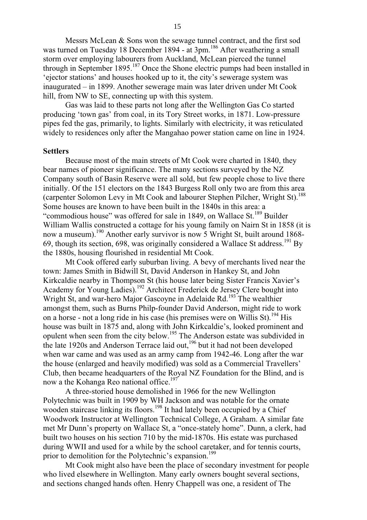Messrs McLean & Sons won the sewage tunnel contract, and the first sod was turned on Tuesday 18 December 1894 - at 3pm.<sup>186</sup> After weathering a small storm over employing labourers from Auckland, McLean pierced the tunnel through in September 1895.187 Once the Shone electric pumps had been installed in 'ejector stations' and houses hooked up to it, the city's sewerage system was inaugurated – in 1899. Another sewerage main was later driven under Mt Cook hill, from NW to SE, connecting up with this system.

Gas was laid to these parts not long after the Wellington Gas Co started producing 'town gas' from coal, in its Tory Street works, in 1871. Low-pressure pipes fed the gas, primarily, to lights. Similarly with electricity, it was reticulated widely to residences only after the Mangahao power station came on line in 1924.

#### **Settlers**

Because most of the main streets of Mt Cook were charted in 1840, they bear names of pioneer significance. The many sections surveyed by the NZ Company south of Basin Reserve were all sold, but few people chose to live there initially. Of the 151 electors on the 1843 Burgess Roll only two are from this area (carpenter Solomon Levy in Mt Cook and labourer Stephen Pilcher, Wright St).188 Some houses are known to have been built in the 1840s in this area: a "commodious house" was offered for sale in 1849, on Wallace St.<sup>189</sup> Builder William Wallis constructed a cottage for his young family on Nairn St in 1858 (it is now a museum).<sup>190</sup> Another early survivor is now 5 Wright St, built around 1868-69, though its section, 698, was originally considered a Wallace St address.<sup>191</sup> By the 1880s, housing flourished in residential Mt Cook.

Mt Cook offered early suburban living. A bevy of merchants lived near the town: James Smith in Bidwill St, David Anderson in Hankey St, and John Kirkcaldie nearby in Thompson St (his house later being Sister Francis Xavier's Academy for Young Ladies).192 Architect Frederick de Jersey Clere bought into Wright St, and war-hero Major Gascoyne in Adelaide Rd.<sup>193</sup> The wealthier amongst them, such as Burns Philp-founder David Anderson, might ride to work on a horse - not a long ride in his case (his premises were on Willis St).<sup>194</sup> His house was built in 1875 and, along with John Kirkcaldie's, looked prominent and opulent when seen from the city below.<sup>195</sup> The Anderson estate was subdivided in the late 1920s and Anderson Terrace laid out,<sup>196</sup> but it had not been developed when war came and was used as an army camp from 1942-46. Long after the war the house (enlarged and heavily modified) was sold as a Commercial Travellers' Club, then became headquarters of the Royal NZ Foundation for the Blind, and is now a the Kohanga Reo national office.<sup>197</sup>

A three-storied house demolished in 1966 for the new Wellington Polytechnic was built in 1909 by WH Jackson and was notable for the ornate wooden staircase linking its floors.<sup>198</sup> It had lately been occupied by a Chief Woodwork Instructor at Wellington Technical College, A Graham. A similar fate met Mr Dunn's property on Wallace St, a "once-stately home". Dunn, a clerk, had built two houses on his section 710 by the mid-1870s. His estate was purchased during WWII and used for a while by the school caretaker, and for tennis courts, prior to demolition for the Polytechnic's expansion.<sup>199</sup>

Mt Cook might also have been the place of secondary investment for people who lived elsewhere in Wellington. Many early owners bought several sections, and sections changed hands often. Henry Chappell was one, a resident of The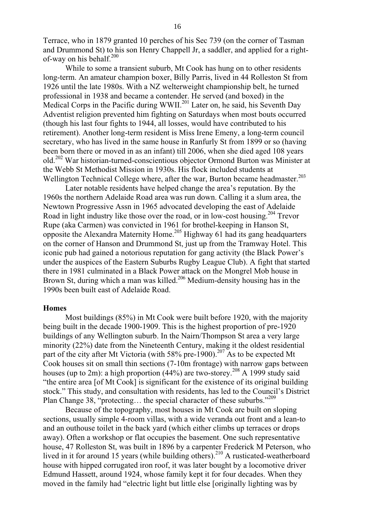Terrace, who in 1879 granted 10 perches of his Sec 739 (on the corner of Tasman and Drummond St) to his son Henry Chappell Jr, a saddler, and applied for a rightof-way on his behalf.<sup>200</sup>

While to some a transient suburb, Mt Cook has hung on to other residents long-term. An amateur champion boxer, Billy Parris, lived in 44 Rolleston St from 1926 until the late 1980s. With a NZ welterweight championship belt, he turned professional in 1938 and became a contender. He served (and boxed) in the Medical Corps in the Pacific during WWII.<sup>201</sup> Later on, he said, his Seventh Day Adventist religion prevented him fighting on Saturdays when most bouts occurred (though his last four fights to 1944, all losses, would have contributed to his retirement). Another long-term resident is Miss Irene Emeny, a long-term council secretary, who has lived in the same house in Ranfurly St from 1899 or so (having been born there or moved in as an infant) till 2006, when she died aged 108 years old.202 War historian-turned-conscientious objector Ormond Burton was Minister at the Webb St Methodist Mission in 1930s. His flock included students at Wellington Technical College where, after the war, Burton became headmaster.<sup>203</sup>

Later notable residents have helped change the area's reputation. By the 1960s the northern Adelaide Road area was run down. Calling it a slum area, the Newtown Progressive Assn in 1965 advocated developing the east of Adelaide Road in light industry like those over the road, or in low-cost housing.<sup>204</sup> Trevor Rupe (aka Carmen) was convicted in 1961 for brothel-keeping in Hanson St, opposite the Alexandra Maternity Home.205 Highway 61 had its gang headquarters on the corner of Hanson and Drummond St, just up from the Tramway Hotel. This iconic pub had gained a notorious reputation for gang activity (the Black Power's under the auspices of the Eastern Suburbs Rugby League Club). A fight that started there in 1981 culminated in a Black Power attack on the Mongrel Mob house in Brown St, during which a man was killed.<sup>206</sup> Medium-density housing has in the 1990s been built east of Adelaide Road.

#### **Homes**

Most buildings (85%) in Mt Cook were built before 1920, with the majority being built in the decade 1900-1909. This is the highest proportion of pre-1920 buildings of any Wellington suburb. In the Nairn/Thompson St area a very large minority (22%) date from the Nineteenth Century, making it the oldest residential part of the city after Mt Victoria (with 58% pre-1900).<sup>207</sup> As to be expected Mt Cook houses sit on small thin sections (7-10m frontage) with narrow gaps between houses (up to 2m): a high proportion  $(44\%)$  are two-storey.<sup>208</sup> A 1999 study said "the entire area [of Mt Cook] is significant for the existence of its original building stock." This study, and consultation with residents, has led to the Council's District Plan Change 38, "protecting... the special character of these suburbs."<sup>209</sup>

Because of the topography, most houses in Mt Cook are built on sloping sections, usually simple 4-room villas, with a wide veranda out front and a lean-to and an outhouse toilet in the back yard (which either climbs up terraces or drops away). Often a workshop or flat occupies the basement. One such representative house, 47 Rolleston St, was built in 1896 by a carpenter Frederick M Peterson, who lived in it for around 15 years (while building others).<sup>210</sup> A rusticated-weatherboard house with hipped corrugated iron roof, it was later bought by a locomotive driver Edmund Hassett, around 1924, whose family kept it for four decades. When they moved in the family had "electric light but little else [originally lighting was by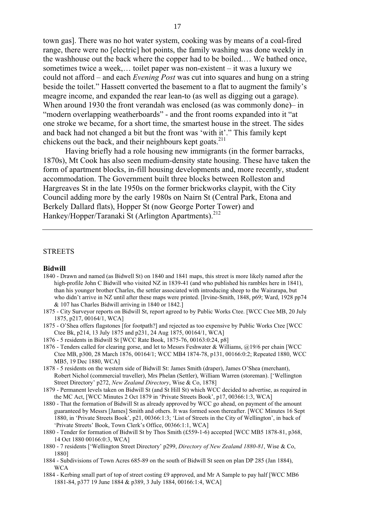town gas]. There was no hot water system, cooking was by means of a coal-fired range, there were no [electric] hot points, the family washing was done weekly in the washhouse out the back where the copper had to be boiled.… We bathed once, sometimes twice a week,… toilet paper was non-existent – it was a luxury we could not afford – and each *Evening Post* was cut into squares and hung on a string beside the toilet." Hassett converted the basement to a flat to augment the family's meagre income, and expanded the rear lean-to (as well as digging out a garage). When around 1930 the front verandah was enclosed (as was commonly done)– in "modern overlapping weatherboards" - and the front rooms expanded into it "at one stroke we became, for a short time, the smartest house in the street. The sides and back had not changed a bit but the front was 'with it'." This family kept chickens out the back, and their neighbours kept goats. $2^{11}$ 

Having briefly had a role housing new immigrants (in the former barracks, 1870s), Mt Cook has also seen medium-density state housing. These have taken the form of apartment blocks, in-fill housing developments and, more recently, student accommodation. The Government built three blocks between Rolleston and Hargreaves St in the late 1950s on the former brickworks claypit, with the City Council adding more by the early 1980s on Nairn St (Central Park, Etona and Berkely Dallard flats), Hopper St (now George Porter Tower) and Hankey/Hopper/Taranaki St (Arlington Apartments).<sup>212</sup>

#### **STREETS**

#### **Bidwill**

- 1840 Drawn and named (as Bidwell St) on 1840 and 1841 maps, this street is more likely named after the high-profile John C Bidwill who visited NZ in 1839-41 (and who published his rambles here in 1841), than his younger brother Charles, the settler associated with introducing sheep to the Wairarapa, but who didn't arrive in NZ until after these maps were printed. [Irvine-Smith, 1848, p69; Ward, 1928 pp74 & 107 has Charles Bidwill arriving in 1840 or 1842.]
- 1875 City Surveyor reports on Bidwill St, report agreed to by Public Works Ctee. [WCC Ctee MB, 20 July 1875, p217, 00164/1, WCA]
- 1875 O'Shea offers flagstones [for footpath?] and rejected as too expensive by Public Works Ctee [WCC Ctee Bk, p214, 13 July 1875 and p231, 24 Aug 1875, 00164/1, WCA]
- 1876 5 residents in Bidwill St [WCC Rate Book, 1875-76, 00163:0:24, p8]
- 1876 Tenders called for clearing gorse, and let to Messrs Feshwater & Williams, @19/6 per chain [WCC Ctee MB, p300, 28 March 1876, 00164/1; WCC MB4 1874-78, p131, 00166:0:2; Repeated 1880, WCC MB5, 19 Dec 1880, WCA]
- 1878 5 residents on the western side of Bidwill St: James Smith (draper), James O'Shea (merchant), Robert Nichol (commercial traveller), Mrs Phelan (Settler), William Warren (storeman). ['Wellington Street Directory' p272, *New Zealand Directory*, Wise & Co, 1878]
- 1879 Permanent levels taken on Bidwill St (and St Hill St) which WCC decided to advertise, as required in the MC Act, [WCC Minutes 2 Oct 1879 in 'Private Streets Book', p17, 00366:1:3, WCA]
- 1880 That the formation of Bidwill St as already approved by WCC go ahead, on payment of the amount guaranteed by Messrs [James] Smith and others. It was formed soon thereafter. [WCC Minutes 16 Sept 1880, in 'Private Streets Book', p21, 00366:1:3; 'List of Streets in the City of Wellington', in back of 'Private Streets' Book, Town Clerk's Office, 00366:1:1, WCA]
- 1880 Tender for formation of Bidwill St by Thos Smith (£559-1-6) accepted [WCC MB5 1878-81, p368, 14 Oct 1880 00166:0:3, WCA]
- 1880 7 residents ['Wellington Street Directory' p299, *Directory of New Zealand 1880-81*, Wise & Co, 1880]
- 1884 Subdivisions of Town Acres 685-89 on the south of Bidwill St seen on plan DP 285 (Jan 1884), WCA
- 1884 Kerbing small part of top of street costing £9 approved, and Mr A Sample to pay half [WCC MB6 1881-84, p377 19 June 1884 & p389, 3 July 1884, 00166:1:4, WCA]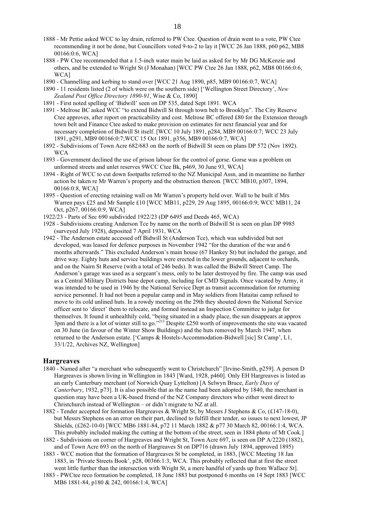- 1888 Mr Pettie asked WCC to lay drain, referred to PW Ctee. Question of drain went to a vote, PW Ctee recommending it not be done, but Councillors voted 9-to-2 to lay it [WCC 26 Jan 1888, p60 p62, MB8 00166:0:6, WCA]
- 1888 PW Ctee recommended that a 1.5-inch water main be laid as asked for by Mr DG McKenzie and others, and be extended to Wright St (J Monahan) [WCC PW Ctee 26 Jan 1888, p62, MB8 00166:0:6, WCA<sub>1</sub>
- 1890 Channelling and kerbing to stand over [WCC 21 Aug 1890, p85, MB9 00166:0:7, WCA]
- 1890 11 residents listed (2 of which were on the southern side) ['Wellington Street Directory', *New Zealand Post Office Directory 1890-91*, Wise & Co, 1890]
- 1891 First noted spelling of 'Bidwill' seen on DP 535, dated Sept 1891. WCA
- 1891 Melrose BC asked WCC "to extend Bidwill St through town belt to Brooklyn". The City Reserve Ctee approves, after report on practicability and cost. Melrose BC offered £80 for the Extension through town belt and Finance Ctee asked to make provision on estimates for next financial year and for necessary completion of Bidwill St itself. [WCC 10 July 1891, p284, MB9 00166:0:7; WCC 23 July 1891, p291, MB9 00166:0:7;WCC 15 Oct 1891, p356, MB9 00166:0:7, WCA]
- 1892 Subdivisions of Town Acre 682/683 on the north of Bidwill St seen on plans DP 572 (Nov 1892). WCA
- 1893 Government declined the use of prison labour for the control of gorse. Gorse was a problem on unformed streets and unlet reserves 9WCC Ctee Bk, p469, 30 June 93, WCA]
- 1894 Right of WCC to cut down footpaths referred to the NZ Municipal Assn, and in meantime no further action be taken re Mr Warren's property and the obstruction thereon. [WCC MB10, p307, 1894, 00166:0:8, WCA]
- 1895 Question of erecting retaining wall on Mr Warren's property held over. Wall to be built if Mrs Warren pays £25 and Mr Sample £10 [WCC MB11, p229, 29 Aug 1895, 00166:0:9; WCC MB11, 24 Oct, p267, 00166:0:9, WCA]
- 1922/23 Parts of Sec 690 subdivided 1922/23 (DP 6495 and Deeds 465, WCA)
- 1928 Subdivisions creating Anderson Tce by name on the north of Bidwill St is seen on plan DP 9985 (surveyed July 1928), deposited 7 April 1931, WCA
- 1942 The Anderson estate accessed off Bidwill St (Anderson Tce), which was subdivided but not developed, was leased for defence purposes in November 1942 "for the duration of the war and 6 months afterwards." This excluded Anderson's main house (67 Hankey St) but included the garage, and drive way. Eighty huts and service buildings were erected in the lower grounds, adjacent to orchards, and on the Nairn St Reserve (with a total of 246 beds). It was called the Bidwill Street Camp. The Anderson's garage was used as a sergeant's mess, only to be later destroyed by fire. The camp was used as a Central Military Districts base depot camp, including for CMD Signals. Once vacated by Army, it was intended to be used in 1946 by the National Service Dept as transit accommodation for returning service personnel. It had not been a popular camp and in May soldiers from Hataitai camp refused to move to its cold unlined huts. In a rowdy meeting on the 29th they shouted down the National Service officer sent to 'direct' them to relocate, and formed instead an Inspection Committee to judge for themselves. It found it unhealthily cold, "being situated in a shady place, the sun disappears at approx 3pm and there is a lot of winter still to go."213 Despite £250 worth of improvements the site was vacated on 30 June (in favour of the Winter Show Buildings) and the huts removed by March 1947, when returned to the Anderson estate. ['Camps & Hostels-Accommodation-Bidwell [sic] St Camp', L1, 33/1/22, Archives NZ, Wellington]

#### **Hargreaves**

- 1840 Named after "a merchant who subsequently went to Christchurch" [Irvine-Smith, p259]. A person D Hargreaves is shown living in Wellington in 1843 [Ward, 1928, p460]. Only EH Hargreaves is listed as an early Canterbury merchant (of Norwich Quay Lyttelton) [A Selwyn Bruce, *Early Days of Canterbury*, 1932, p73]. It is also possible that as the name had been adopted by 1840, the merchant in question may have been a UK-based friend of the NZ Company directors who either went direct to Christchurch instead of Wellington – or didn't migrate to NZ at all.
- 1882 Tender accepted for formation Hargreaves & Wright St, by Messrs J Stephens & Co, (£147-18-0), but Messrs Stephens on an error on their part, declined to fulfill their tender, so issues to next lowest, JP Shields, (£262-10-0) [WCC MB6 1881-84, p72 11 March 1882 & p77 30 March 82, 00166:1:4, WCA. This probably included making the cutting at the bottom of the street, seen in 1884 photo of Mt Cook.]
- 1882 Subdivisions on corner of Hargreaves and Wright St, Town Acre 697, is seen on DP A/2220 (1882), and of Town Acre 693 on the north of Hargreaves St on DP716 (drawn July 1894, approved 1895)
- 1883 WCC motion that the formation of Hargreaves St be completed, in 1883, [WCC Meeting 18 Jan 1883, in 'Private Streets Book', p28, 00366:1:3, WCA. This probably reflected that at first the street went little further than the intersection with Wright St, a mere handful of yards up from Wallace St].
- 1883 PWCtee reco formation be completed, 18 June 1883 but postponed 6 months on 14 Sept 1883 [WCC MB6 1881-84, p180 & 242, 00166:1:4, WCA]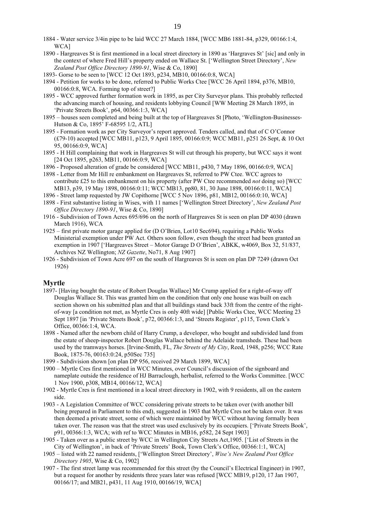- 1884 Water service 3/4in pipe to be laid WCC 27 March 1884, [WCC MB6 1881-84, p329, 00166:1:4, WCA<sub>1</sub>
- 1890 Hargreaves St is first mentioned in a local street directory in 1890 as 'Hargraves St' [sic] and only in the context of where Fred Hill's property ended on Wallace St. ['Wellington Street Directory', *New Zealand Post Office Directory 1890-91*, Wise & Co, 1890]
- 1893- Gorse to be seen to [WCC 12 Oct 1893, p234, MB10, 00166:0:8, WCA]
- 1894 Petition for works to be done, referred to Public Works Ctee [WCC 26 April 1894, p376, MB10, 00166:0:8, WCA. Forming top of street?]
- 1895 WCC approved further formation work in 1895, as per City Surveyor plans. This probably reflected the advancing march of housing, and residents lobbying Council [WW Meeting 28 March 1895, in 'Private Streets Book', p64, 00366:1:3, WCA]
- 1895 houses seen completed and being built at the top of Hargreaves St [Photo, 'Wellington-Businesses-Hutson & Co, 1895' F-68595 1/2, ATL]
- 1895 Formation work as per City Surveyor's report approved. Tenders called, and that of C O'Connor (£79-10) accepted [WCC MB11, p123, 9 April 1895, 00166:0:9; WCC MB11, p251 26 Sept, & 10 Oct 95, 00166:0:9, WCA]
- 1895 H Hill complaining that work in Hargreaves St will cut through his property, but WCC says it wont [24 Oct 1895, p263, MB11, 00166:0:9, WCA]
- 1896 Proposed alteration of grade be considered [WCC MB11, p430, 7 May 1896, 00166:0:9, WCA]
- 1898 Letter from Mr Hill re embankment on Hargreaves St, referred to PW Ctee. WCC agrees to contribute £25 to this embankment on his property (after PW Ctee recommended *not* doing so) [WCC MB13, p39, 19 May 1898, 00166:0:11; WCC MB13, pp80, 81, 30 June 1898, 00166:0:11, WCA]
- 1896 Street lamp requested by JW Copithorne [WCC 5 Nov 1896, p81, MB12, 00166:0:10, WCA]
- 1898 First substantive listing in Wises, with 11 names ['Wellington Street Directory', *New Zealand Post Office Directory 1890-91*, Wise & Co, 1890]
- 1916 Subdivision of Town Acres 695/696 on the north of Hargreaves St is seen on plan DP 4030 (drawn March 1916), WCA
- 1925 first private motor garage applied for (D O'Brien, Lot10 Sec694), requiring a Public Works Ministerial exemption under PW Act. Others soon follow, even though the street had been granted an exemption in 1907 ['Hargreaves Street – Motor Garage D O'Brien', ABKK, w4069, Box 32, 51/837, Archives NZ Wellington; *NZ Gazette*, No71, 8 Aug 1907]
- 1926 Subdivision of Town Acre 697 on the south of Hargreaves St is seen on plan DP 7249 (drawn Oct 1926)

#### **Myrtle**

- 1897- [Having bought the estate of Robert Douglas Wallace] Mr Crump applied for a right-of-way off Douglas Wallace St. This was granted him on the condition that only one house was built on each section shown on his submitted plan and that all buildings stand back 33ft from the centre of the rightof-way [a condition not met, as Myrtle Cres is only 40ft wide] [Public Works Ctee, WCC Meeting 23 Sept 1897 [in 'Private Streets Book', p72, 00366:1:3, and 'Streets Register', p115, Town Clerk's Office, 00366:1:4, WCA.
- 1898 Named after the newborn child of Harry Crump, a developer, who bought and subdivided land from the estate of sheep-inspector Robert Douglas Wallace behind the Adelaide tramsheds. These had been used by the tramways horses. [Irvine-Smith, FL, *The Streets of My City*, Reed, 1948, p256; WCC Rate Book, 1875-76, 00163:0:24, p50Sec 735]
- 1899 Subdivision shown [on plan DP 956, received 29 March 1899, WCA]
- 1900 Myrtle Cres first mentioned in WCC Minutes, over Council's discussion of the signboard and nameplate outside the residence of HJ Barraclough, herbalist, referred to the Works Committee. [WCC 1 Nov 1900, p308, MB14, 00166/12, WCA]
- 1902 Myrtle Cres is first mentioned in a local street directory in 1902, with 9 residents, all on the eastern side.
- 1903 A Legislation Committee of WCC considering private streets to be taken over (with another bill being prepared in Parliament to this end), suggested in 1903 that Myrtle Cres not be taken over. It was then deemed a private street, some of which were maintained by WCC without having formally been taken over. The reason was that the street was used exclusively by its occupiers. ['Private Streets Book', p91, 00366:1:3, WCA; with ref to WCC Minutes in MB16, p582, 24 Sept 1903]
- 1905 Taken over as a public street by WCC in Wellington City Streets Act,1905. ['List of Streets in the City of Wellington', in back of 'Private Streets' Book, Town Clerk's Office, 00366:1:1, WCA]
- 1905 listed with 22 named residents, ['Wellington Street Directory', *Wise's New Zealand Post Office Directory 1905*, Wise & Co, 1902]
- 1907 The first street lamp was recommended for this street (by the Council's Electrical Engineer) in 1907, but a request for another by residents three years later was refused [WCC MB19, p120, 17 Jan 1907, 00166/17; and MB21, p431, 11 Aug 1910, 00166/19, WCA]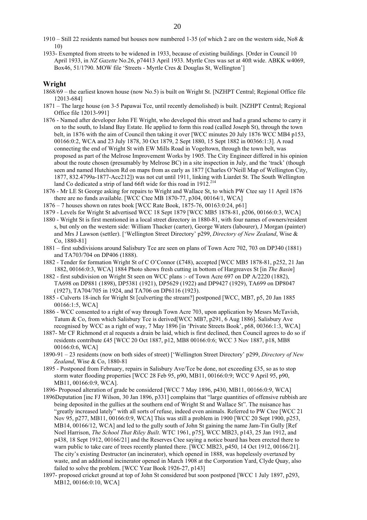- 1910 Still 22 residents named but houses now numbered 1-35 (of which 2 are on the western side, No8 & 10)
- 1933- Exempted from streets to be widened in 1933, because of existing buildings. [Order in Council 10 April 1933, in *NZ Gazette* No.26, p74413 April 1933. Myrtle Cres was set at 40ft wide. ABKK w4069, Box46, 51/1790. MOW file 'Streets - Myrtle Cres & Douglas St, Wellington']

#### **Wright**

- 1868/69 the earliest known house (now No.5) is built on Wright St. [NZHPT Central; Regional Office file 12013-684]
- 1871 The large house (on 3-5 Papawai Tce, until recently demolished) is built. [NZHPT Central; Regional Office file 12013-991]
- 1876 Named after developer John FE Wright, who developed this street and had a grand scheme to carry it on to the south, to Island Bay Estate. He applied to form this road (called Joseph St), through the town belt, in 1876 with the aim of Council then taking it over [WCC minutes 20 July 1876 WCC MB4 p153, 00166:0:2, WCA and 23 July 1878, 30 Oct 1879, 2 Sept 1880, 15 Sept 1882 in 00366:1:3]. A road connecting the end of Wright St with EW Mills Road in Vogeltown, through the town belt, was proposed as part of the Melrose Improvement Works by 1905. The City Engineer differed in his opinion about the route chosen (presumably by Melrose BC) in a site inspection in July, and the 'track' (though seen and named Hutchison Rd on maps from as early as 1877 [Charles O'Neill Map of Wellington City, 1877, 832.4799a-1877-Acc212]) was not cut until 1911, linking with Liardet St. The South Wellington land Co dedicated a strip of land 66ft wide for this road in 1912.<sup>214</sup>
- 1876 Mr LE St George asking for repairs to Wright and Wallace St, to which PW Ctee say 11 April 1876 there are no funds available. [WCC Ctee MB 1870-77, p304, 00164/1, WCA]
- 1876 7 houses shown on rates book [WCC Rate Book, 1875-76, 00163:0:24, p61]
- 1879 Levels for Wright St advertised WCC 18 Sept 1879 [WCC MB5 1878-81, p206, 00166:0:3, WCA]
- 1880 Wright St is first mentioned in a local street directory in 1880-81, with four names of owners/resident s, but only on the western side: William Thacker (carter), George Waters (labourer), J Morgan (painter) and Mrs J Lawson (settler). ['Wellington Street Directory' p299, *Directory of New Zealand*, Wise & Co, 1880-81]
- 1881 first subdivisions around Salisbury Tce are seen on plans of Town Acre 702, 703 on DP340 (1881) and TA703/704 on DP406 (1888).
- 1882 Tender for formation Wright St of C O'Connor (£748), accepted [WCC MB5 1878-81, p252, 21 Jan 1882, 00166:0:3, WCA] 1884 Photo shows fresh cutting in bottom of Hargreaves St [in *The Basin*]
- 1882 first subdivision on Wright St seen on WCC plans :- of Town Acre 697 on DP A/2220 (1882), TA698 on DP881 (1898), DP5381 (1921), DP5629 (1922) and DP9427 (1929), TA699 on DP8047 (1927), TA704/705 in 1924, and TA706 on DP6116 (1923).
- 1885 Culverts 18-inch for Wright St [culverting the stream?] postponed [WCC, MB7, p5, 20 Jan 1885 00166:1:5, WCA]
- 1886 WCC consented to a right of way through Town Acre 703, upon application by Messrs McTavish, Tatum & Co, from which Salisbury Tce is derived[WCC MB7, p291, 6 Aug 1886]. Salisbury Ave recognised by WCC as a right of way, 7 May 1896 [in 'Private Streets Book', p68, 00366:1:3, WCA]
- 1887- Mr CF Richmond et al requests a drain be laid, which is first declined, then Council agrees to do so if residents contribute £45 [WCC 20 Oct 1887, p12, MB8 00166:0:6; WCC 3 Nov 1887, p18, MB8 00166:0:6, WCA]
- 1890-91 23 residents (now on both sides of street) ['Wellington Street Directory' p299, *Directory of New Zealand*, Wise & Co, 1880-81
- 1895 Postponed from February, repairs in Salisbury Ave/Tce be done, not exceeding £35, so as to stop storm water flooding properties [WCC 28 Feb 95, p90, MB11, 00166:0:9; WCC 9 April 95, p90, MB11, 00166:0:9, WCA].
- 1896- Proposed alteration of grade be considered [WCC 7 May 1896, p430, MB11, 00166:0:9, WCA]
- 1896Deputation [inc FJ Wilson, 30 Jan 1896, p331] complains that "large quantities of offensive rubbish are being deposited in the gullies at the southern end of Wright St and Wallace St". The nuisance has "greatly increased lately" with all sorts of refuse, indeed even animals. Referred to PW Ctee [WCC 21 Nov 95, p277, MB11, 00166:0:9, WCA] This was still a problem in 1900 [WCC 20 Sept 1900, p253, MB14, 00166/12, WCA] and led to the gully south of John St gaining the name Jam-Tin Gully [Ref Noel Harrison, *The School That Riley Built*. WTC 1961, p75], WCC MB23, p143, 25 Jan 1912, and p438, 18 Sept 1912, 00166/21] and the Reserves Ctee saying a notice board has been erected there to warn public to take care of trees recently planted there. [WCC MB23, p450, 14 Oct 1912, 00166/21]. The city's existing Destructor (an incinerator), which opened in 1888, was hopelessly overtaxed by waste, and an additional incinerator opened in March 1908 at the Corporation Yard, Clyde Quay, also failed to solve the problem. [WCC Year Book 1926-27, p143]
- 1897- proposed cricket ground at top of John St considered but soon postponed [WCC 1 July 1897, p293, MB12, 00166:0:10, WCA]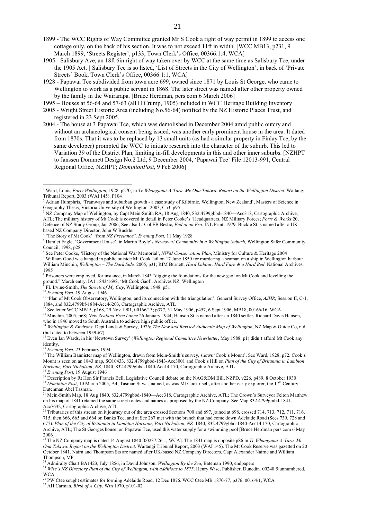- 1899 The WCC Rights of Way Committee granted Mr S Cook a right of way permit in 1899 to access one cottage only, on the back of his section. It was to not exceed 11ft in width. [WCC MB13, p231, 9 March 1899, 'Streets Register', p133, Town Clerk's Office, 00366:1:4, WCA]
- 1905 Salisbury Ave, an 18ft 6in right of way taken over by WCC at the same time as Salisbury Tce, under the 1905 Act. [ Salisbury Tce is so listed, 'List of Streets in the City of Wellington', in back of 'Private Streets' Book, Town Clerk's Office, 00366:1:1, WCA]
- 1928 Papawai Tce subdivided from town acre 699, owned since 1871 by Louis St George, who came to Wellington to work as a public servant in 1868. The later street was named after other property owned by the family in the Wairarapa. [Bruce Herdman, pers com 6 March 2006]
- 1995 Houses at 56-64 and 57-63 (all H Crump, 1905) included in WCC Heritage Building Inventory
- 2005 Wright Street Historic Area (including No.56-64) notified by the NZ Historic Places Trust, and registered in 23 Sept 2005.
- 2004 The house at 3 Papawai Tce, which was demolished in December 2004 amid public outcry and without an archaeological consent being issued, was another early prominent house in the area. It dated from 1870s. That it was to be replaced by 13 small units (as had a similar property in Finlay Tce, by the same developer) prompted the WCC to initiate research into the character of the suburb. This led to Variation 39 of the District Plan, limiting in-fill developments in this and other inner suburbs. [NZHPT to Janssen Dommett Design No.2 Ltd, 9 December 2004, 'Papawai Tce' File 12013-991, Central Regional Office, NZHPT; *DominionPost*, 9 Feb 2006]

<sup>3</sup> NZ Company Map of Wellington, by Capt Mein-Smith RA, 18 Aug 1840, 832.4799gbbd-1840—Acc318, Cartographic Archive, ATL; The military history of Mt Cook is covered in detail in Peter Cooke's 'Headquarters, NZ Military Forces; *Forts & Works* 20, Defence of NZ Study Group, Jan 2006; See also Lt Col EB Bestic, *End of an Era*. INL Print, 1979. Buckle St is named after a UKbased NZ Company Director, John W Buckle.

- <sup>5</sup> Hamlet Eagle, 'Government House', in Martin Boyle's *Newtown! Community in a Wellington Suburb*, Wellington Safer Community Council, 1998, p28
- 6 See Peter Cooke, 'History of the National War Memorial', *NWM Conservation Plan*, Ministry for Culture & Heritage 2004 <sup>7</sup> William Good was hanged in public outside Mt Cook Jail on 17 June 1850 for murdering a seaman on a ship in Wellington harbour. William Minchin, *Wellington – The Dark Side,* 2005, p31; RIM Burnett, *Hard Labour, Hard Fare & a Hard Bed*. National Archives, 1995
- <sup>8</sup> Prisoners were employed, for instance, in March 1843 "digging the foundations for the new gaol on Mt Cook and levelling the ground." March entry, IA1 1843/1698, 'Mt Cook Gaol', Archives NZ, Wellington<br><sup>9</sup> EL Imino Smith, *The Streets of My City*, Wellington, 1948, p51
- 
- 
- <sup>9</sup> FL Irvine-Smith, *The Streets of My City*, Wellington, 1948, p51<br><sup>10</sup> Evening Post, 19 August 1946<br><sup>11</sup> 'Plan of Mt Cook Observatory, Wellington, and its connection with the triangulation'. General Survey Office, *AJH* 1884, and 832.4799bf-1884-Acc46203, Cartographic Archive, ATL
- 1<sup>2</sup> See letter WCC MB15, p168, 29 Nov 1901, 00166/13; p377, 31 May 1906, p457, 6 Sept 1906, MB18, 00166/16, WCA
- <sup>13</sup> Minchin, 2005, p68; *New Zealand Free Lance* 26 January 1944; Hanson St is named after an 1840 settler, Richard Davis Hanson, who in 1846 moved to South Australia to achieve high public office.

<sup>14</sup> *Wellington & Environs*. Dept Lands & Survey, 1926; *The New and Revised Authentic Map of Wellington*, NZ Map & Guide Co, n.d. (but dated to between 1959-67) 15 Even Ian Wards, in his 'Newtown Survey' (*Wellington Regional Committee Newsletter*, May 1988, p1) didn't afford Mt Cook any

<sup>16</sup> *Evening Post*, 23 February 1994 17 The William Bannister map of Wellington, drawn from Mein-Smith's survey, shows 'Cook's Mount'. See Ward, 1928, p72. Cook's Mount is seen on an 1843 map, SO10433, 832.4799gbbd-1843-Acc3001 and Cook's Hill on *Plan of the City of Britannia in Lambton Harbour, Port Nicholson*, *NZ,* 1840, 832.4799gbbd-1840-Acc14,170, Cartographic Archive, ATL <sup>18</sup> *Evening Post*, 19 August 1946

- <sup>21</sup> Mein-Smith Map, 18 Aug 1840, 832.4799gbbd-1840—Acc318, Cartographic Archive, ATL; The Crown's Surveyor Felton Matthew on his map of 1841 retained the same street routes and names as proposed by the NZ Company. See Map 832.4799gmbd-1841- Acc7632, Cartographic Archive, ATL
- <sup>22</sup> Tributaries of this stream on it journey out of the area crossed Sections 700 and 697, joined at 698, crossed 714, 713, 712, 711, 716, 715, then 666, 665 and 664 on Banks Tce, and at Sec 267 met with the branch that had come down Adelaide Road (Secs 739, 728 and 677). *Plan of the City of Britannia in Lambton Harbour, Port Nicholson*, *NZ,* 1840, 832.4799gbbd-1840-Acc14,170, Cartographic Archive, ATL; The St Georges house, on Papawai Tce, used this water supply for a swimming pool [Bruce Herdman pers com 6 May 2006]. 23 The NZ Company map is dated 14 August 1840 [00237:26:1, WCA]. The 1841 map is opposite p86 in *Te Whanganui-A-Tara. Me*

*Ona Takiwa. Report on the Wellington District*. Waitangi Tribunal Report, 2003 (WAI 145). The Mt Cook Reserve was gazetted on 20 October 1841. Nairn and Thompson Sts are named after UK-based NZ Company Directors, Capt Alexander Nairne and William Thompson, MP<br><sup>24</sup> Admiralty Chart BA1423, July 1856, in David Johnson, *Wellington By the Sea*, Bateman 1990, endpapers

<sup>25</sup> Wise's NZ Directory Plan of the City of Wellington, with additions to 1875. Henry Wise, Publisher, Dunedin. 00248:5:unnumbered, WCA

<sup>26</sup> PW Ctee sought estimates for forming Adelaide Road, 12 Dec 1876. WCC Ctee MB 1870-77, p376, 00164/1, WCA 27 AH Carman, *Birth of A City*, Wtn 1970, p101-02

1 Ward, Louis, *Early Wellington*, 1928, p270; in *Te Whanganui-A-Tara. Me Ona Takiwa. Report on the Wellington District*. Waitangi Tribunal Report, 2003 (WAI 145). P104

<sup>&</sup>lt;sup>2</sup> Adrian Humphris, 'Tramways and suburban growth - a case study of Kilbirnie, Wellington, New Zealand', Masters of Science in Geography Thesis, Victoria University of Wellington. 2003, Ch3, p95

<sup>4</sup> 'The Story of Mt Cook' "from *NZ Freelance"*. *Evening Post*, 11 May 1928

identity.<br><sup>16</sup> Evening Post, 23 February 1994

<sup>&</sup>lt;sup>19</sup> Description by Rt Hon Sir Francis Bell, Legislative Council debate on the NAG&DM Bill, NZPD, v226, p489, 8 October 1930 <sup>20</sup> *Dominion Post*, 10 March 2005, A4; Tasman St was named, as was Mt Cook itself, after another early explorer, the 17<sup>th</sup> Century Dutchman Abel Tasman.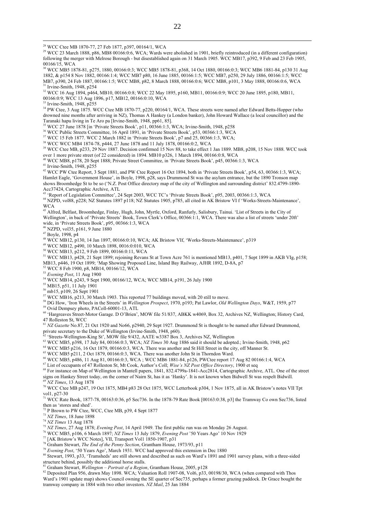<sup>29</sup> WCC 23 March 1888, p86, MB8 00166:0:6, WCA; Wards were abolished in 1901, briefly reintroduced (in a different configuration) following the merger with Melrose Borough - but disestablished again on 31 March 1905. WCC MB17, p392, 9 Feb and 23 Feb 1905, 00166/15, WCA

30 WCC MB5 1878-81, p275, 1880, 00166:0:3; WCC MB5 1878-81, p368, 14 Oct 1880, 00166:0:3; WCC MB6 1881-84, p130 31 Aug 1882, & p154 8 Nov 1882, 00166:1:4; WCC MB7 p80, 16 June 1885, 00166:1:5; WCC MB7, p250, 29 July 1886, 00166:1:5; WCC MB7, p390, 24 Feb 1887, 00166:1:5; WCC MB8, p82, 8 March 1888, 00166:0:6; WCC MB8, p101, 3 May 1888, 00166:0:6, WCA<br>31 Irvine-Smith, 1948, p254

<sup>32</sup> WCC 16 Aug 1894, p464, MB10, 00166:0:8; WCC 22 May 1895, p160, MB11, 00166:0:9; WCC 20 June 1895, p180, MB11, 00166:0:9; WCC 13 Aug 1896, p17, MB12, 00166:0:10, WCA

33 Irvine-Smith, 1948, p255

 $\overline{a}$ 

<sup>34</sup> PW Ctee, 3 Aug 1875. WCC Ctee MB 1870-77, p220, 00164/1, WCA. These streets were named after Edward Betts-Hopper (who drowned nine months after arriving in NZ), Thomas A Hankey (a London banker), John Howard Wallace (a local councillor) and the Taranaki hapu living in Te Aro pa [Irvine-Smith, 1948, pp61, 85].

35 WCC 27 June 1878 [in 'Private Streets Book', p11, 00366:1:3, WCA; Irvine-Smith, 1948, p258

<sup>36</sup> WCC Public Streets Committee, 16 April 1891, in 'Private Streets Book', p53, 00366:1:3, WCA

37 WCC 15 Feb 1877. WCC 2 March 1882 in 'Private Streets Book', p7 and 25, 00366:1:3, WCA;

38 WCC WCC MB4 1874-78, p444, 27 June 1878 and 11 July 1878, 00166:0:2, WCA

<sup>39</sup> WCC Ctee MB, p233, 29 Nov 1887. Decision confirmed 15 Nov 88, to take effect 1 Jan 1889. MB8, p208, 15 Nov 1888. WCC took over 1 more private street (of 22 considered) in 1894. MB10 p326, 1 March 1894, 00166:0:8, WCA

40 WCC MB8, p178, 20 Sept 1888; Private Street Committee, in 'Private Streets Book', p45, 00366:1:3, WCA  $\frac{1000 \text{ m/s}}{1 \text{.}}$  Irvine-Smith, 1948, p255

<sup>42</sup> WCC PW Ctee Report, 3 Sept 1881, and PW Ctee Report 16 Oct 1894, both in 'Private Streets Book', p54, 63, 00366:1:3, WCA; Hamlet Eagle, 'Government House', in Boyle, 1998, p28, says Drummond St was the asylum entrance, but the 1890 Tronson map shows Broomhedge St to be so ('N.Z. Post Office directory map of the city of Wellington and surrounding district' 832.4799-1890- Acc37424, Cartographic Archive, ATL

43 'Report of Legislation Committee', 24 Sept 2003, WCC TC's 'Private Streets Book', p95, 2003, 00366:1:3, WCA

44 NZPD, vol88, p228; NZ Statutes 1897 p118; NZ Statutes 1905, p785, all cited in AK Bristow VI f 'Works-Streets-Maintenance', WCA

<sup>45</sup> Alfred, Belfast, Broomhedge, Finlay, Hugh, John, Myrtle, Oxford, Ranfurly, Salisbury, Tainui. 'List of Streets in the City of Wellington', in back of 'Private Streets' Book, Town Clerk's Office, 00366:1:1, WCA. There was also a list of streets 'under 20ft' wide, in 'Private Streets Book', p95, 00366:1:3, WCA

NZPD, vol35, p161, 9 June 1880

 $47$  Boyle, 1998, p4

48 WCC MB12, p130, 14 Jan 1897, 00166:0:10, WCA; AK Bristow VIf, 'Works-Streets-Maintenance', p319

49 WCC MB12, p490, 10 March 1898, 0016:0:010, WCA

50 WCC MB13, p212, 9 Feb 1899, 00166:0:11, WCA

51 WCC MB13, p428, 21 Sept 1899; rejoining Revans St at Town Acre 761 is mentioned MB13, p401, 7 Sept 1899 in AKB VIg, p158;

MB13, p446, 19 Oct 1899; 'Map Showing Proposed Line, Island Bay Railway, AJHR 1892, D-8A, p7

 $52$  WCC 8 Feb 1900, p8, MB14, 00166/12, WCA

<sup>53</sup> *Evening Post*, 11 Aug 1900

54 WCC MB14, p243, 9 Sept 1900, 00166/12, WCA; WCC MB14, p191, 26 July 1900

55 MB15, p51, 11 July 1901

56 mb15, p109, 26 Sept 1901

 $57$  WCC MB16, p213, 30 March 1903. This reported 77 buildings moved, with 20 still to move.

<sup>58</sup> DG How, 'Iron Wheels in the Streets' in *Wellington Prospect*, 1970, p193; Pat Lawlor, *Old Wellington Days*, W&T, 1959, p77<br><sup>59</sup> Ovid Dempsey photo, PAColl-60001-13, ATL

60 'Hargreaves Street-Motor Garage. D O'Brien', MOW file 51/837, ABKK w4069, Box 32, Archives NZ, Wellington; History Card, 47 Rolleston St, WCC

<sup>61</sup> *NZ Gazette* No.87, 21 Oct 1920 and No66, p2940, 29 Sept 1927. Drummond St is thought to be named after Edward Drummond,

private secretary to the Duke of Wellington (Irvine-Smith, 1948, p60). 62 'Streets-Wellington-King St', MOW file 9/432, AATE w3387 Box 3, Archives NZ, Wellington

- 63 WCC MB5, p398, 17 July 84, 00166:0:3, WCA; *NZ Times* 30 Aug 1886 said it should be adopted.; Irvine-Smith, 1948, p62
- <sup>64</sup> WCC MB5 p216, 16 Oct 1879, 00166:0:3, WCA. There was another and St Hill Street in the city, off Manner St.

 $65$  WCC MB5 p211, 2 Oct 1879, 00166:0:3, WCA. There was another John St in Thorndon Ward.

<sup>66</sup> WCC MB5, p486, 11 Aug 81, 00166:0:3, WCA; WCC MB6 1881-84, p126, PWCtee report 17 Aug 82 00166:1:4, WCA <sup>67</sup> List of occupants of 47 Rolleston St, Mt Cook, Author's Coll; *Wise's NZ Post Office Directory*, 1900 et se

<sup>68</sup> For instance on Map of Wellington in Mantell papers, 1841, 832.4799a-1841-Acc2814, Cartographic Archive, ATL. One of the street signs on Hankey Street today, on the corner of Nairn St, has it as 'Hanky'. It is not known when Bidwell St was respelt Bidwill. <sup>69</sup> NZ Times, 13 Aug 1878

<sup>10</sup> WCC Ctee MB p247, 19 Oct 1875, MB4 p83 28 Oct 1875, WCC Letterbook p304, 1 Nov 1875, all in AK Bristow's notes VII Tpt vol1,  $p27-30$ 

71 WCC Rate Book, 1877-78, 00163:0:36, p5 Sec736. In the 1878-79 Rate Book [00163:0:38, p3] the Tramway Co own Sec736, listed then as 'stores and shed'.

 $^{72}$  P Brown to PW Ctee, WCC, Ctee MB, p39, 4 Sept 1877  $^{73}$  NZ Times, 18 June 1898

<sup>73</sup> *NZ Times*, 18 June 1898 <sup>74</sup> *NZ Times* 13 Aug 1878 <sup>75</sup> *NZ Times*, 27 Aug 1878; *Evening Post*, 14 April 1949. The first public run was on Monday 26 August.

76 WCC MB5, p106, 6 March 1897; *NZ Times* 13 July 1879, *Evening Post* '50 Years Ago' 10 Nov 1929 77 [AK Bristow's WCC Notes], VII, Transport Vol1 1850-1907, p31

<sup>78</sup> Graham Stewart, *The End of the Penny Section*, Grantham House, 1973/93, p11<br><sup>79</sup> Evening Post, '50 Years Ago', March 1931. WCC had approved this extension in Dec 1880

80 Stewart, 1993, p33, 'Tramsheds' are still shown and described as such on Ward's 1891 and 1901 survey plans, with a three-sided structure behind, possibly the additional horse stalls.

81 Graham Stewart, *Wellington – Portrait of a Region*, Grantham House, 2005, p128

82 Deposited Plan 956, drawn May 1898. WCA; Valuation Roll 1907-08, Vol6, p33, 00198/30, WCA (when compared with Thos Ward's 1901 update map) shows Council owning the SE quarter of Sec735, perhaps a former grazing paddock. Dr Grace bought the tramway company in 1884 with two other investors. *NZ Mail*, 25 Jan 1884

<sup>28</sup> WCC Ctee MB 1870-77, 27 Feb 1877, p397, 00164/1, WCA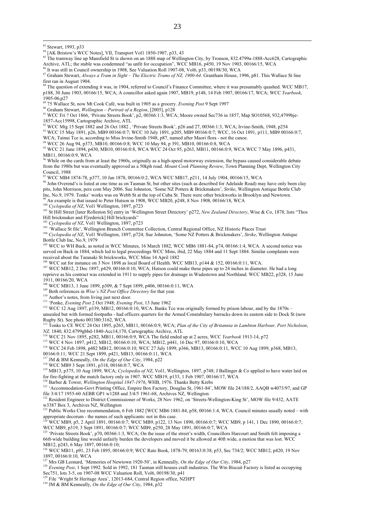$\overline{a}$ 

<sup>85</sup> The tramway line up Mansfield St is shown on an 1888 map of Wellington City, by Tronson, 832.4799a-1888-Acc628, Cartographic Archive, ATL; the stable was condemned "as unfit for occupation", WCC MB16, p450, 19 Nov 1903, 00166/15, WCA

86 It was still in Council ownership in 1908, See Valuation Roll 1907-08, Vol6, p33, 00198/30, WCA

87 Graham Stewart, *Always a Tram in Sight – The Electric Trams of NZ*, 1900-64. Grantham House, 1996, p81. This Wallace St line

first ran in August 1904. 88 The question of extending it was, in 1904, referred to Council's Finance Committee, where it was presumably quashed. WCC MB17, p188, 30 June 1903, 00166/15, WCA; A councillor asked again 1907, MB19, p148, 14 Feb 1907, 00166/17, WCA; WCC *Yearbook*,

1905-06,p27 89 75 Wallace St, now Mt Cook Café, was built in 1905 as a grocery. *Evening Post* 9 Sept 1997

<sup>90</sup> Graham Stewart, *Wellington – Portrait of a Region*, [2005], p128<br><sup>91</sup> WCC Fri ? Oct 1866, 'Private Streets Book', p2, 00366:1:3, WCA; Moore owned Sec736 in 1857, Map SO10568, 932,4799bje-1857-Acc15998, Cartographic Archive, ATL

<sup>92</sup> WCC Mtg 15 Sept 1882 and 26 Oct 1882, 'Private Streets Book', p26 and 27, 00366:1:3, WCA; Irvine-Smith, 1948, p254 93 WCC 15 May 1891, p26, MB9 00166:0:7; WCC 10 July 1891, p205, MB9 00166:0:7; WCC, 16 Oct 1891, p111, MB9 00166:0:7, WCA; Tainui Tce is, according to Miss Irvine-Smith 1948, p87, named after Maori flora - not the canoe.

94 WCC 26 Aug 94, p373, MB10, 00166:0:8; WCC 10 May 94, p 391, MB10, 00166:0:8, WCA

<sup>95</sup> WCC 21 June 1894, p430, MB10, 00166:0:8, WCA WCC 24 Oct 95, p263, MB11, 00166:0:9, WCA WCC 7 May 1896, p431, MB11, 00166:0:9, WCA

 $96$  While on the cards from at least the 1960s, originally as a high-speed motorway extension, the bypass caused considerable debate from the 1980s but was eventually approved as a 50kph road. *Mount Cook Planning Review*, Town Planning Dept, Wellington City Council, 1988

97 WCC MB4 1874-78, p377, 10 Jan 1878, 00166:0:2, WCA WCC MB17, p211, 14 July 1904, 00166/15, WCA

<sup>98</sup> John Overend's is listed at one time as on Tasman St, but other sites (such as described for Adelaide Road) may have only been clay pits, John Morrison, pers com May 2006. Sue Johnston, 'Some NZ Potters & Brickmakers', *Strike*, Wellington Antique Bottle Club Inc, No.9, 1979. Tonks' works was on Webb St at the top of Cuba St. There were other brickworks in Brooklyn and Newtown. 99 An example is that issued to Peter Hutson in 1908, WCC MB20, p248, 8 Nov 1908, 00166/18, WCA

<sup>100</sup> *Cyclopedia of NZ*, Vol1 Wellington, 1897, p723

<sup>101</sup> St Hill Street [later Rolleston St] entry in 'Wellington Street Directory' p272, *New Zealand Directory*, Wise & Co, 1878, lists "Thos Hill brickmaker and F[rederick] Hill brickyards"

<sup>102</sup> *Cyclopedia of NZ*, Vol1 Wellington, 1897, p723<br><sup>103</sup> 'Wallace St file', Wellington Branch Committee Collection, Central Regional Office, NZ Historic Places Trust

<sup>104</sup> Cyclopedia of NZ, Vol1 Wellington, 1897, p724; Sue Johnston, 'Some NZ Potters & Brickmakers', Strike, Wellington Antique Bottle Club Inc, No.9, 1979

<sup>105</sup> WCC to WH Back, as noted in WCC Minutes, 16 March 1882, WCC MB6 1881-84, p74, 00166:1:4, WCA. A second notice was served on Back in 1884, which led to legal proceedings WCC Mins, ibid, 22 May 1884 and 11 Sept 1884. Similar complaints were received about the Taranaki St brickworks, WCC Mins 14 April 1882<br><sup>106</sup> WCC att fe

<sup>106</sup> WCC sat for instance on 3 Nov 1898 as local Board of Health. WCC MB13, p144 & 152, 00166:0:11, WCA.<br><sup>107</sup> WCC MB12, 2 Dec 1897, p429, 00166:0:10, WCA; Hutson could make these pipes up to 24 inches in diameter. He ha reprieve as his contract was extended in 1911 to supply pipes for drainage in Wadestown and Northland. WCC MB22, p328, 15 June 1911, 00166/20, WCA<br><sup>108</sup> WCC MB13, 1 June 1899, p309, & 7 Sept 1899, p406, 00166:0:11, WCA

<sup>109</sup> Both references in *Wise's NZ Post Office Directory* for that year.<br><sup>110</sup> Author's notes, from living just next door.

<sup>111</sup> 'Ponke, Evening Post 2 Oct 1948; Evening Post, 13 June 1962<br><sup>112</sup> WCC 12 Aug 1897, p339, MB12, 00166:0:10, WCA. Banks Tce was originally formed by prison labour, and by the 1870s –

unsealed but with formed footpaths - had officers quarters for the Armed Constabulary barracks down its eastern side to Dock St (now

Rugby St). See photo 001380:3162, WCA 113 Tonks to CE WCC 24 Oct 1895, p265, MB11, 00166:0:9, WCA; *Plan of the City of Britannia in Lambton Harbour, Port Nicholson*, NZ, 1840, 832.4799gbbd-1840-Acc14,170, Cartographic Archive, ATL<br><sup>114</sup> WCC 21 Nov 1895, p282, MB11, 00166:0:9, WCA The field ended up at 2 acres, WCC *Yearbook* 1913-14, p72<br><sup>115</sup> WCC 4 Nov 1897, p412, MB12, 00166:0:10, WC

116 WCC 24 Feb 1898, p482 MB12, 00166:0:10; WCC 27 July 1899, p366, MB13, 00166:0:11, WCC 10 Aug 1899, p368, MB13,

00166:0:11; WCC 21 Sept 1899, p421, MB13, 00166:0:11, WCA

<sup>117</sup> JM & BM Kenneally, *On the Edge of Our City*, 1984, p22<sup>118</sup> WCC MB9 3 Sept 1891, p318, 00166:0:7, WCA

<sup>119</sup> MB13, p375, 10 Aug 1899, WCA; *Cyclopedia of NZ*, Vol1, Wellington, 1897, p748; J Ballinger & Co applied to have water laid on for fire-fighting at the match factory only in 1907. WCC MB19, p133, I Feb 1907, 00166/17, WCA<br><sup>120</sup> Barber & Tower, *Wellington Hospital 1847-1976*, WHB, 1976. Thanks Betty Krebs

<sup>121</sup> 'Accommodation-Govt Printing Office, Empire Box Factory, Douglas St, 1961-84', MOW file 24/188/2, AAQB w4073/97, and GP file 3/4/17 1955-60 AEBR GP1 w1288 and 3/4/5 1961-68, Archives NZ, Wellington

<sup>122</sup> Resident Engineer to District Commissioner of Works, 28 Nov 1962, on 'Streets-Wellington-King St', MOW file 9/432, AATE

w3387 Box 3, Archives NZ, Wellington<br><sup>123</sup> Public Works Ctee recommendation, 6 Feb 1882 [WCC MB6 1881-84, p58, 00166:1:4, WCA. Council minutes usually noted – with

appropriate decorum - the names of such applicants: not in this case.<br><sup>124</sup> WCC MB9, p5, 2 April 1891, 00166:0:7; WCC MB9, p122, 13 Nov 1890, 00166:0:7; WCC MB9, p 141, 1 Dec 1890, 00166:0:7; WCC MB9, p319, 3 Sept 1891, 00166:0:7; WCC MB9, p250, 28 May 1891, 00166:0:7, WCA

<sup>125</sup> 'Private Streets Book', p70, 00366:1:3, WCA; On the issue of the street's width, Councillors Harcourt and Smith felt imposing a 66ft-wide building line would unfairly burden the developers and moved it be allowed at 40ft wide, a motion that was lost. WCC MB12, p243, 6 May 1897, 00166:0:10;

126 WCC MB11, p91, 23 Feb 1895, 00166:0:9; WCC Rate Book, 1878-79, 00163:0:38, p53, Sec 734/2; WCC MB12, p420, 19 Nov 1897, 00166:0:10, WCA<br><sup>127</sup> Mrs GB Leonard, 'Memories of Newtown 1920-50', in Kenneally, *On the Edge of Our City*, 1984, p27

<sup>128</sup> Evening Post, 1 Sept 1992. Sold in 1992, 181 Tasman still houses craft industries. The Wtn Biscuit Factory is listed as occupying Sec751, lots 3-5, on 1907-08 WCC Valuation Roll, Vol6, 00198/30, p41<br><sup>129</sup> El. sty. i style WCC Valuation Roll, Vol6, 00198/30, p41

<sup>129</sup> File 'Wright St Heritage Area', 12013-684, Central Region office, NZHPT <sup>130</sup> JM & BM Kenneally, *On the Edge of Our City*, 1984, p32

<sup>83</sup> Stewart, 1993, p33

<sup>84 [</sup>AK Bristow's WCC Notes], VII, Transport Vol1 1850-1907, p33, 43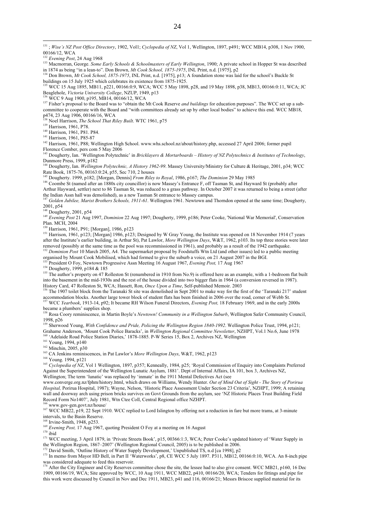131 ; *Wise's NZ Post Office Directory*, 1902, Vol1; *Cyclopedia of NZ*, Vol 1, Wellington, 1897, p491; WCC MB14, p308, 1 Nov 1900, 00166/12, WCA<br>
<sup>132</sup> Evening Post, 24 Aug 1968

 $\overline{a}$ 

<sup>132</sup> *Evening Post*, 24 Aug 1968 133 Macmorran, George. *Some Early Schools & Schoolmasters of Early Wellington*, 1900; A private school in Hopper St was described in 1874 as being "in a lean-to". Don Brown, *Mt Cook School, 1875-1975*, INL Print, n.d. [1975], p2

<sup>134</sup> Don Brown, *Mt Cook School, 1875-1975*, INL Print, n.d. [1975], p13; A foundation stone was laid for the school's Buckle St buildings on 15 July 1925 which celebrates its existence from 1875-1925.<br><sup>135</sup> WCC 15 Aug 1895, MB11, p221, 00166:0:9, WCA; WCC 5 May 1898, p28, and 19 May 1898, p38, MB13, 00166:0:11, WCA; JC

Beaglehole, Victoria University College, NZUP, 1949, p13<br><sup>136</sup> WCC 9 Aug 1900, p195, MB14, 00166/12, WCA<br><sup>137</sup> Fisher's proposal to the Board was to "obtain the Mt Cook Reserve *and buildings* for education purposes". The

committee to cooperate with the Board and "with committees already set up by other local bodies" to achieve this end. WCC MB18, p474, 23 Aug 1906, 00166/16, WCA

<sup>138</sup> Noel Harrison, *The School That Riley Built*. WTC 1961, p75<sup>139</sup> Harrison, 1961, P78.

<sup>140</sup> Harrison, 1961, P81. P84.<br><sup>141</sup> Harrison, 1961, P85-87

<sup>142</sup> Harrison, 1961, P88; Wellington High School. www.whs.school.nz/about/history.php, accessed 27 April 2006; former pupil Florence Comber, pers com 5 May 2006

143 Dougherty, Ian. 'Wellington Polytechnic' in *Bricklayers & Mortarboards – History of NZ Polytechnics & Institutes of Technology*,

Dunmore Press, 1999, p182 144 Dougherty, Ian. *Wellington Polytechnic, A History 1962-99*. Massey University/Ministry for Culture & Heritage, 2001, p34; WCC Rate Book, 1875-76, 00163:0:24, p55, Sec 710, 2 houses<br><sup>145</sup> Dougherty. 1999, p182; [Morgan, Dennis] *From Riley to Royal*, 1986, p167; *The Dominion* 29 May 1985

<sup>146</sup> Coombe St (named after an 1880s city councillor) is now Massey's Entrance F, off Tasman St, and Hayward St (probably after Arthur Hayward, settler) next to 86 Tasman St, was reduced to a grass pathway. In October 2007 it was returned to being a street (after

the Indian Assn hall was demolished), as a new Tasman St entrance to Massey campus. <sup>147</sup> *Golden Jubilee, Marist Brothers Schools, 1911-61*. Wellington 1961. Newtown and Thorndon opened at the same time; Dougherty, 2001, p54<br><sup>148</sup> Dougherty, 2001, p54

<sup>149</sup> Evening Post 21 Aug 1997, *Dominion* 22 Aug 1997; Dougherty, 1999, p186; Peter Cooke, 'National War Memorial', Conservation Plan. MCH, 2004<br><sup>150</sup> Harrison, 1961, P91; [Morgan], 1986, p123

<sup>151</sup> Harrison, 1961, p123; [Morgan] 1986, p123; Designed by W Gray Young, the Institute was opened on 18 November 1914 (7 years after the Institute's earlier building, in Arthur St), Pat Lawlor, *More Wellington Days*, W&T, 1962, p103. Its top three stories were later removed (possibly at the same time as the pool was recommissioned in 1961), and probably as a result of the 1942 earthquake.<br><sup>152</sup> Dominion Post 10 March 2005, A4. The supermarket proposal by Foodstuffs Wtn Ltd (and other

organised by Mount Cook Mobilised, which had formed to give the suburb a voice, on 21 August 2007 in the BGI.<br><sup>153</sup> President O Foy, Newtown Progressive Assn Meeting 16 August 1967, *Evening Post*, 17 Aug 1967

<sup>154</sup> Dougherty, 1999, p184 & 185<br><sup>155</sup> The author's property on 47 Rolleston St (renumbered in 1910 from No.9) is offered here as an example, with a 1-bedroom flat built into the basement in the mid-1930s and the rest of the house divided into two bigger flats in 1964 (a conversion reversed in 1987). History Card, 47 Rolleston St, WCA; Hassett, Ron, Once Upon a Time, Self-published Memoir.

The 1907 toilet block from the Taranaki St site was demolished in Sept 2001 to make way for the first of the 'Taranaki 217' student accommodation blocks. Another large tower block of student flats has been finished in 2006 over the road, corner of Webb St.<br><sup>157</sup> WCC *Yearbook*, 1913-14, p92; It became RH Wilson Funeral Directors, *Evening Post*, 18 Feb

became a plumbers' supplies shop.

<sup>158</sup> Rosa Coory reminiscence, in Martin Boyle's Newtown! Community in a Wellington Suburb, Wellington Safer Community Council, 1998, p26

<sup>159</sup> Sherwood Young, *With Confidence and Pride, Policing the Wellington Region 1840-1992*. Wellington Police Trust, 1994, p121;<br>Grahame Anderson, 'Mount Cook Police Baracks', in *Wellington Regional Committee Newsletter* 

<sup>160</sup> 'Adelaide Road Police Station Diaries,' 1878-1885. P-W Series 15, Box 2, Archives NZ, Wellington <sup>161</sup> Young, 1994, p140<br><sup>161</sup> Young, 1994, p140

<sup>163</sup> CA Jenkins reminiscences, in Pat Lawlor's *More Wellington Days*, W&T, 1962, p123<br><sup>164</sup> Young. 1994, p121

<sup>165</sup> Cyclopedia of NZ, Vol 1 Wellington, 1897, p357; Kenneally, 1984, p25; 'Royal Commission of Enquiry into Complaints Preferred Against the Superintendent of the Wellington Lunatic Asylum, 1881'. Dept of Internal Affairs, IA 101, box 3, Archives NZ, Wellington; The term 'lunatic' was replaced by 'inmate' in the 1911 Mental Defectives Act (see

www.converge.org.nz/fphm/history.html, which draws on Williams, Wendy Hunter. *Out of Mind Out of Sight - The Story of Porirua Hospital,* Porirua Hospital, 1987); Wayne, Nelson, 'Historic Place Assessment Under Section 23 Criteria', NZHPT, 1999; A retaining wall and doorway arch using prison bricks survives on Govt Grounds from the asylum, see 'NZ Historic Places Trust Building Field Record Form No1407', July 1981, Wtn Ctee Coll, Central Regional office NZHPT.

<sup>166</sup> www.gov-gen.govt.nz/house/<br><sup>167</sup> WCC MB22, p19, 22 Sept 1910. WCC replied to Lord Islington by offering not a reduction in fare but more trams, at 3-minute intervals, to the Basin Reserve.<br><sup>168</sup> Irvine-Smith, 1948, p253.

<sup>169</sup> Evening Post, 17 Aug 1967, quoting President O Foy at a meeting on 16 August<sup>170</sup> ibid

<sup>171</sup> WCC meeting, 3 April 1879, in 'Private Streets Book', p15, 00366:1:3, WCA; Peter Cooke's updated history of 'Water Supply in the Wellington Region, 1867–2007' (Wellington Regional Council, 2005) is to be published in 2006.<br><sup>172</sup> David Smith, 'Outline History of Water Supply Development,' Unpublished TS, n.d [ca 1998], p2

<sup>173</sup> In memo from Mayor HD Bell, in Part II 'Waterworks', p8, CE WCC 5 July 1897. P311, MB12, 00166:0:10, WCA. An 8-inch pipe

was considered adequate to feed this reservoir.<br><sup>174</sup> After the City Engineer and City Reserves committee chose the site, the lessee had to also give consent. WCC MB21, p160, 16 Dec 1909, 00166/19, WCA; Site approved by WCC, 10 Aug 1911, WCC MB22, p410, 00166/20, WCA; Tenders for fittings and pipe for this work were discussed by Council in Nov and Dec 1911, MB23, p41 and 116, 00166/21; Messrs Briscoe supplied material for its